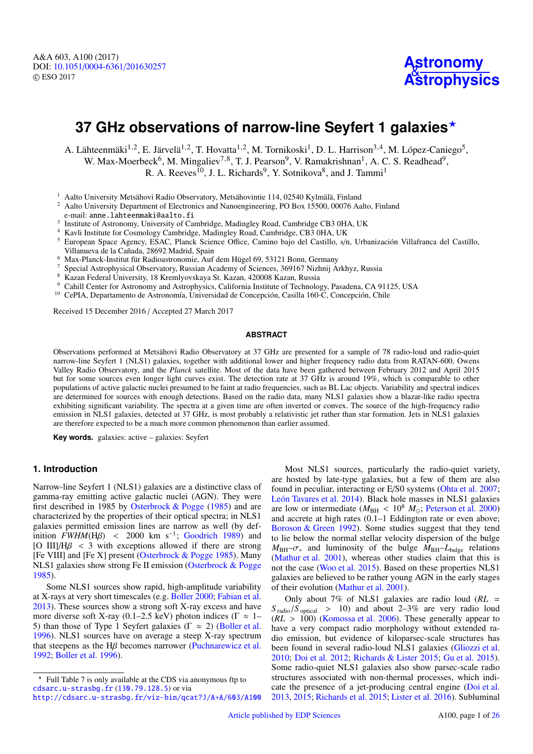# **37 GHz observations of narrow-line Seyfert 1 galaxies**?

A. Lähteenmäki<sup>1,2</sup>, E. Järvelä<sup>1,2</sup>, T. Hovatta<sup>1,2</sup>, M. Tornikoski<sup>1</sup>, D. L. Harrison<sup>3,4</sup>, M. López-Caniego<sup>5</sup>, W. Max-Moerbeck<sup>6</sup>, M. Mingaliev<sup>7,8</sup>, T. J. Pearson<sup>9</sup>, V. Ramakrishnan<sup>1</sup>, A. C. S. Readhead<sup>9</sup>, R. A. Reeves<sup>10</sup>, J. L. Richards<sup>9</sup>, Y. Sotnikova<sup>8</sup>, and J. Tammi<sup>1</sup>

<sup>1</sup> Aalto University Metsähovi Radio Observatory, Metsähovintie 114, 02540 Kylmälä, Finland<br><sup>2</sup> Aalto University Department of Electronias and Napogramaging and Pay 15500, 00076 Aa

<sup>2</sup> Aalto University Department of Electronics and Nanoengineering, PO Box 15500, 00076 Aalto, Finland

e-mail: anne.lahteenmaki@aalto.fi

<sup>3</sup> Institute of Astronomy, University of Cambridge, Madingley Road, Cambridge CB3 0HA, UK

<sup>4</sup> Kavli Institute for Cosmology Cambridge, Madingley Road, Cambridge, CB3 0HA, UK<br><sup>5</sup> European Space Agency ESAC, Planck Science Office, Camino bajo del Castillo, s/n

- <sup>5</sup> European Space Agency, ESAC, Planck Science Office, Camino bajo del Castillo, s/n, Urbanización Villafranca del Castillo, Villanueva de la Cañada, 28692 Madrid, Spain
- <sup>6</sup> Max-Planck-Institut für Radioastronomie, Auf dem Hügel 69, 53121 Bonn, Germany
- <sup>7</sup> Special Astrophysical Observatory, Russian Academy of Sciences, 369167 Nizhnij Arkhyz, Russia
- <sup>8</sup> Kazan Federal University, 18 Kremlyovskaya St. Kazan, 420008 Kazan, Russia
- Cahill Center for Astronomy and Astrophysics, California Institute of Technology, Pasadena, CA 91125, USA
- <sup>10</sup> CePIA, Departamento de Astronomía, Universidad de Concepción, Casilla 160-C, Concepción, Chile

Received 15 December 2016 / Accepted 27 March 2017

## **ABSTRACT**

Observations performed at Metsähovi Radio Observatory at 37 GHz are presented for a sample of 78 radio-loud and radio-quiet narrow-line Seyfert 1 (NLS1) galaxies, together with additional lower and higher frequency radio data from RATAN-600, Owens Valley Radio Observatory, and the *Planck* satellite. Most of the data have been gathered between February 2012 and April 2015 but for some sources even longer light curves exist. The detection rate at 37 GHz is around 19%, which is comparable to other populations of active galactic nuclei presumed to be faint at radio frequencies, such as BL Lac objects. Variability and spectral indices are determined for sources with enough detections. Based on the radio data, many NLS1 galaxies show a blazar-like radio spectra exhibiting significant variability. The spectra at a given time are often inverted or convex. The source of the high-frequency radio emission in NLS1 galaxies, detected at 37 GHz, is most probably a relativistic jet rather than star formation. Jets in NLS1 galaxies are therefore expected to be a much more common phenomenon than earlier assumed.

**Key words.** galaxies: active – galaxies: Seyfert

## **1. Introduction**

Narrow-line Seyfert 1 (NLS1) galaxies are a distinctive class of gamma-ray emitting active galactic nuclei (AGN). They were first described in 1985 by [Osterbrock & Pogge](#page-11-0) [\(1985\)](#page-11-0) and are characterized by the properties of their optical spectra; in NLS1 galaxies permitted emission lines are narrow as well (by definition  $FWHM(H\beta)$  < 2000 km s<sup>-1</sup>; [Goodrich](#page-11-1) [1989\)](#page-11-1) and<br>[O IIII/H<sub>6</sub> < 3 with exceptions allowed if there are strong [O III]/ $H\beta$  < 3 with exceptions allowed if there are strong [Fe VIII] and [Fe X] present [\(Osterbrock & Pogge](#page-11-0) [1985\)](#page-11-0). Many NLS1 galaxies show strong Fe II emission [\(Osterbrock & Pogge](#page-11-0) [1985\)](#page-11-0).

Some NLS1 sources show rapid, high-amplitude variability at X-rays at very short timescales (e.g. [Boller](#page-11-2) [2000;](#page-11-2) [Fabian et al.](#page-11-3) [2013\)](#page-11-3). These sources show a strong soft X-ray excess and have more diverse soft X-ray (0.1–2.5 keV) photon indices ( $\Gamma \approx 1-$ 5) than those of Type 1 Seyfert galaxies ( $\Gamma \approx 2$ ) [\(Boller et al.](#page-11-4) [1996\)](#page-11-4). NLS1 sources have on average a steep X-ray spectrum that steepens as the H $\beta$  becomes narrower [\(Puchnarewicz et al.](#page-11-5) [1992;](#page-11-5) [Boller et al.](#page-11-4) [1996\)](#page-11-4).

<http://cdsarc.u-strasbg.fr/viz-bin/qcat?J/A+A/603/A100>

Most NLS1 sources, particularly the radio-quiet variety, are hosted by late-type galaxies, but a few of them are also found in peculiar, interacting or E/S0 systems [\(Ohta et al.](#page-11-6) [2007;](#page-11-6) [León Tavares et al.](#page-11-7) [2014\)](#page-11-7). Black hole masses in NLS1 galaxies are low or intermediate ( $M_{\text{BH}} < 10^8$   $M_{\odot}$ ; [Peterson et al.](#page-11-8) [2000\)](#page-11-8) and accrete at high rates (0.1–1 Eddington rate or even above; [Boroson & Green](#page-11-9) [1992\)](#page-11-9). Some studies suggest that they tend to lie below the normal stellar velocity dispersion of the bulge  $M_{BH}$ – $\sigma_*$  and luminosity of the bulge  $M_{BH}$ – $L_{bulge}$  relations [\(Mathur et al.](#page-11-10) [2001\)](#page-11-10), whereas other studies claim that this is not the case [\(Woo et al.](#page-11-11) [2015\)](#page-11-11). Based on these properties NLS1 galaxies are believed to be rather young AGN in the early stages of their evolution [\(Mathur et al.](#page-11-10) [2001\)](#page-11-10).

Only about 7% of NLS1 galaxies are radio loud (*RL* =  $S_{\text{radio}}/S_{\text{optical}}$  > 10) and about 2–3% are very radio loud  $(RL > 100)$  [\(Komossa et al.](#page-11-12) [2006\)](#page-11-12). These generally appear to have a very compact radio morphology without extended radio emission, but evidence of kiloparsec-scale structures has been found in several radio-loud NLS1 galaxies [\(Gliozzi et al.](#page-11-13) [2010;](#page-11-13) [Doi et al.](#page-11-14) [2012;](#page-11-14) [Richards & Lister](#page-11-15) [2015;](#page-11-15) [Gu et al.](#page-11-16) [2015\)](#page-11-16). Some radio-quiet NLS1 galaxies also show parsec-scale radio structures associated with non-thermal processes, which indicate the presence of a jet-producing central engine [\(Doi et al.](#page-11-17) [2013,](#page-11-17) [2015;](#page-11-18) [Richards et al.](#page-11-19) [2015;](#page-11-19) [Lister et al.](#page-11-20) [2016\)](#page-11-20). Subluminal

<sup>?</sup> Full Table 7 is only available at the CDS via anonymous ftp to [cdsarc.u-strasbg.fr](http://cdsarc.u-strasbg.fr) (<130.79.128.5>) or via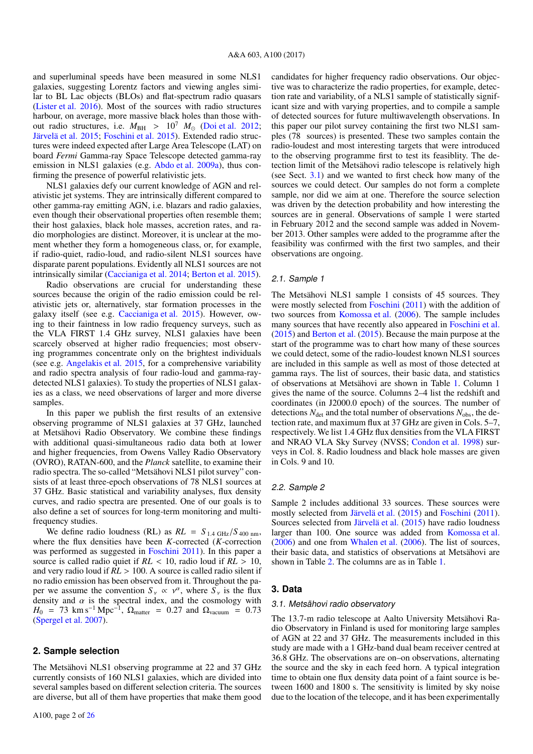and superluminal speeds have been measured in some NLS1 galaxies, suggesting Lorentz factors and viewing angles similar to BL Lac objects (BLOs) and flat-spectrum radio quasars [\(Lister et al.](#page-11-20) [2016\)](#page-11-20). Most of the sources with radio structures harbour, on average, more massive black holes than those without radio structures, i.e.  $M_{\text{BH}} > 10^7$   $M_{\odot}$  [\(Doi et al.](#page-11-14) [2012;](#page-11-14) [Järvelä et al.](#page-11-21) [2015;](#page-11-21) [Foschini et al.](#page-11-22) [2015\)](#page-11-22). Extended radio structures were indeed expected after Large Area Telescope (LAT) on board *Fermi* Gamma-ray Space Telescope detected gamma-ray emission in NLS1 galaxies (e.g. [Abdo et al.](#page-11-23) [2009a\)](#page-11-23), thus confirming the presence of powerful relativistic jets.

NLS1 galaxies defy our current knowledge of AGN and relativistic jet systems. They are intrinsically different compared to other gamma-ray emitting AGN, i.e. blazars and radio galaxies, even though their observational properties often resemble them; their host galaxies, black hole masses, accretion rates, and radio morphologies are distinct. Moreover, it is unclear at the moment whether they form a homogeneous class, or, for example, if radio-quiet, radio-loud, and radio-silent NLS1 sources have disparate parent populations. Evidently all NLS1 sources are not intrinsically similar [\(Caccianiga et al.](#page-11-24) [2014;](#page-11-24) [Berton et al.](#page-11-25) [2015\)](#page-11-25).

Radio observations are crucial for understanding these sources because the origin of the radio emission could be relativistic jets or, alternatively, star formation processes in the galaxy itself (see e.g. [Caccianiga et al.](#page-11-26) [2015\)](#page-11-26). However, owing to their faintness in low radio frequency surveys, such as the VLA FIRST 1.4 GHz survey, NLS1 galaxies have been scarcely observed at higher radio frequencies; most observing programmes concentrate only on the brightest individuals (see e.g. [Angelakis et al.](#page-11-27) [2015,](#page-11-27) for a comprehensive variability and radio spectra analysis of four radio-loud and gamma-raydetected NLS1 galaxies). To study the properties of NLS1 galaxies as a class, we need observations of larger and more diverse samples.

In this paper we publish the first results of an extensive observing programme of NLS1 galaxies at 37 GHz, launched at Metsähovi Radio Observatory. We combine these findings with additional quasi-simultaneous radio data both at lower and higher frequencies, from Owens Valley Radio Observatory (OVRO), RATAN-600, and the *Planck* satellite, to examine their radio spectra. The so-called "Metsähovi NLS1 pilot survey" consists of at least three-epoch observations of 78 NLS1 sources at 37 GHz. Basic statistical and variability analyses, flux density curves, and radio spectra are presented. One of our goals is to also define a set of sources for long-term monitoring and multifrequency studies.

We define radio loudness (RL) as  $RL = S_{1.4 \text{ GHz}}/S_{400 \text{ nm}}$ , where the flux densities have been *K*-corrected (*K*-correction was performed as suggested in [Foschini](#page-11-28) [2011\)](#page-11-28). In this paper a source is called radio quiet if *RL* < 10, radio loud if *RL* > 10, and very radio loud if *RL* > 100. A source is called radio silent if no radio emission has been observed from it. Throughout the paper we assume the convention  $S_v \propto v^{\alpha}$ , where  $S_v$  is the flux density and  $\alpha$  is the spectral index and the cosmology with density and  $\alpha$  is the spectral index, and the cosmology with  $H_0 = 73 \text{ km s}^{-1} \text{ Mpc}^{-1}$ ,  $\Omega_{\text{matter}} = 0.27 \text{ and } \Omega_{\text{vacuum}} = 0.73$ <br>(Spergel et al. 2007) [\(Spergel et al.](#page-11-29) [2007\)](#page-11-29).

## **2. Sample selection**

The Metsähovi NLS1 observing programme at 22 and 37 GHz currently consists of 160 NLS1 galaxies, which are divided into several samples based on different selection criteria. The sources are diverse, but all of them have properties that make them good candidates for higher frequency radio observations. Our objective was to characterize the radio properties, for example, detection rate and variability, of a NLS1 sample of statistically significant size and with varying properties, and to compile a sample of detected sources for future multiwavelength observations. In this paper our pilot survey containing the first two NLS1 samples (78 sources) is presented. These two samples contain the radio-loudest and most interesting targets that were introduced to the observing programme first to test its feasiblity. The detection limit of the Metsähovi radio telescope is relatively high (see Sect. [3.1\)](#page-1-0) and we wanted to first check how many of the sources we could detect. Our samples do not form a complete sample, nor did we aim at one. Therefore the source selection was driven by the detection probability and how interesting the sources are in general. Observations of sample 1 were started in February 2012 and the second sample was added in November 2013. Other samples were added to the programme after the feasibility was confirmed with the first two samples, and their observations are ongoing.

#### 2.1. Sample 1

The Metsähovi NLS1 sample 1 consists of 45 sources. They were mostly selected from [Foschini](#page-11-28) [\(2011\)](#page-11-28) with the addition of two sources from [Komossa et al.](#page-11-12) [\(2006\)](#page-11-12). The sample includes many sources that have recently also appeared in [Foschini et al.](#page-11-22) [\(2015\)](#page-11-22) and [Berton et al.](#page-11-25) [\(2015\)](#page-11-25). Because the main purpose at the start of the programme was to chart how many of these sources we could detect, some of the radio-loudest known NLS1 sources are included in this sample as well as most of those detected at gamma rays. The list of sources, their basic data, and statistics of observations at Metsähovi are shown in Table [1.](#page-2-0) Column 1 gives the name of the source. Columns 2–4 list the redshift and coordinates (in J2000.0 epoch) of the sources. The number of detections  $N_{\text{det}}$  and the total number of observations  $N_{\text{obs}}$ , the detection rate, and maximum flux at 37 GHz are given in Cols. 5–7, respectively. We list 1.4 GHz flux densities from the VLA FIRST and NRAO VLA Sky Survey (NVSS; [Condon et al.](#page-11-30) [1998\)](#page-11-30) surveys in Col. 8. Radio loudness and black hole masses are given in Cols. 9 and 10.

#### 2.2. Sample 2

Sample 2 includes additional 33 sources. These sources were mostly selected from [Järvelä et al.](#page-11-21) [\(2015\)](#page-11-21) and [Foschini](#page-11-28) [\(2011\)](#page-11-28). Sources selected from [Järvelä et al.](#page-11-21) [\(2015\)](#page-11-21) have radio loudness larger than 100. One source was added from [Komossa et al.](#page-11-12) [\(2006\)](#page-11-12) and one from [Whalen et al.](#page-11-31) [\(2006\)](#page-11-31). The list of sources, their basic data, and statistics of observations at Metsähovi are shown in Table [2.](#page-3-0) The columns are as in Table [1.](#page-2-0)

#### **3. Data**

#### <span id="page-1-0"></span>3.1. Metsähovi radio observatory

The 13.7-m radio telescope at Aalto University Metsähovi Radio Observatory in Finland is used for monitoring large samples of AGN at 22 and 37 GHz. The measurements included in this study are made with a 1 GHz-band dual beam receiver centred at 36.8 GHz. The observations are on–on observations, alternating the source and the sky in each feed horn. A typical integration time to obtain one flux density data point of a faint source is between 1600 and 1800 s. The sensitivity is limited by sky noise due to the location of the telecope, and it has been experimentally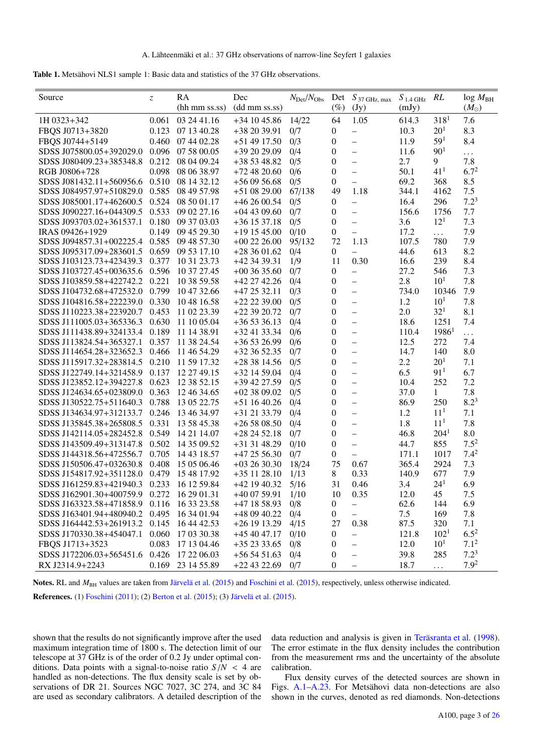<span id="page-2-0"></span>

| <b>Table 1.</b> Metsähovi NLS1 sample 1: Basic data and statistics of the 37 GHz observations. |  |  |  |
|------------------------------------------------------------------------------------------------|--|--|--|
|------------------------------------------------------------------------------------------------|--|--|--|

| 64<br>1.05<br>318 <sup>1</sup><br>7.6<br>1H 0323+342<br>0.061<br>03 24 41.16<br>$+341045.86$<br>14/22<br>614.3<br>$20^{1}$<br>8.3<br>FBQS J0713+3820<br>0.123<br>07 13 40.28<br>0/7<br>$\boldsymbol{0}$<br>10.3<br>+38 20 39.91<br>$\overline{\phantom{0}}$<br>59 <sup>1</sup><br>8.4<br>FBQS J0744+5149<br>0/3<br>$\boldsymbol{0}$<br>11.9<br>0.460<br>07 44 02.28<br>$+51$ 49 17.50<br>-<br>90 <sup>1</sup><br>SDSS J075800.05+392029.0<br>0.096<br>07 58 00.05<br>+39 20 29.09<br>0/4<br>11.6<br>0<br>$\qquad \qquad -$<br>.<br>2.7<br>9<br>7.8<br>0.212<br>SDSS J080409.23+385348.8<br>08 04 09.24<br>$+385348.82$<br>0/5<br>0<br>$\qquad \qquad -$<br>$6.7^{2}$<br>41 <sup>1</sup><br>RGB J0806+728<br>0.098<br>08 06 38.97<br>$+724820.60$<br>0/6<br>0<br>50.1<br>$\overline{\phantom{0}}$<br>8.5<br>SDSS J081432.11+560956.6 0.510<br>08 14 32.12<br>$+56095668$<br>0/5<br>0<br>69.2<br>368<br>$\overline{\phantom{0}}$<br>$7.5$<br>49<br>1.18<br>SDSS J084957.97+510829.0<br>0.585<br>08 49 57.98<br>$+510829.00$<br>67/138<br>344.1<br>4162<br>$7.2^3$<br>0/5<br>16.4<br>296<br>SDSS J085001.17+462600.5<br>0.524<br>08 50 01.17<br>$+462600.54$<br>0<br>0.533<br>0/7<br>0<br>7.7<br>SDSS J090227.16+044309.5<br>09 02 27.16<br>$+044309.60$<br>156.6<br>1756<br>$\qquad \qquad -$<br>$12^{1}$<br>0/5<br>0<br>3.6<br>7.3<br>SDSS J093703.02+361537.1<br>0.180<br>09 37 03.03<br>$+36$ 15 37.18<br>$\overline{\phantom{0}}$<br>IRAS 09426+1929<br>0.149<br>09 45 29.30<br>17.2<br>7.9<br>$+19$ 15 45.00<br>0/10<br>0<br>$\overline{\phantom{0}}$<br>$\cdots$<br>0.585<br>09 48 57.30<br>$+002226.00$<br>1.13<br>107.5<br>780<br>7.9<br>SDSS J094857.31+002225.4<br>95/132<br>72<br>8.2<br>SDSS J095317.09+283601.5<br>0.659<br>09 53 17.10<br>$+283601.62$<br>0/4<br>$\boldsymbol{0}$<br>44.6<br>613<br>$\qquad \qquad -$<br>0.30<br>8.4<br>239<br>SDSS J103123.73+423439.3<br>0.377<br>10 31 23.73<br>+42 34 39.31<br>1/9<br>11<br>16.6<br>SDSS J103727.45+003635.6<br>10 37 27.45<br>$+00$ 36 35.60<br>0/7<br>$\boldsymbol{0}$<br>546<br>7.3<br>0.596<br>27.2<br>$\overline{\phantom{0}}$<br>$10^{1}$<br>0.221<br>$\boldsymbol{0}$<br>2.8<br>7.8<br>SDSS J103859.58+422742.2<br>10 38 59.58<br>$+42$ 27 42.26<br>0/4<br>$\qquad \qquad -$<br>7.9<br>SDSS J104732.68+472532.0<br>0.799<br>0/3<br>0<br>734.0<br>10346<br>10 47 32.66<br>$+472532.11$<br>$\qquad \qquad -$<br>$10^{1}$<br>1.2<br>SDSS J104816.58+222239.0<br>0.330<br>10 48 16.58<br>$+22$ 22 39.00<br>0/5<br>$\boldsymbol{0}$<br>7.8<br>$\qquad \qquad -$<br>32 <sup>1</sup><br>2.0<br>8.1<br>0.453<br>11 02 23.39<br>$+22$ 39 20.72<br>0/7<br>$\boldsymbol{0}$<br>SDSS J110223.38+223920.7<br>$\overline{\phantom{0}}$<br>7.4<br>0.630<br>$+365336.13$<br>0/4<br>$\boldsymbol{0}$<br>18.6<br>1251<br>SDSS J111005.03+365336.3<br>11 10 05.04<br>$\overline{\phantom{0}}$<br>$\boldsymbol{0}$<br>$1986^1$<br>SDSS J111438.89+324133.4<br>0.189<br>11 14 38.91<br>$+324133.34$<br>0/6<br>110.4<br>.<br>$\overline{\phantom{0}}$ | Source                   | $\mathcal{Z}$ | RA<br>(hh mm ss.ss) | Dec<br>(dd mm ss.ss) | $N_{\rm Det}/N_{\rm Obs}$ | Det<br>$(\%)$    | $S_{37 \text{ GHz, max}}$<br>(Jy) | $S_{1.4\,\mathrm{GHz}}$<br>(mJy) | RL  | $log M_{BH}$<br>$(M_{\odot})$ |
|--------------------------------------------------------------------------------------------------------------------------------------------------------------------------------------------------------------------------------------------------------------------------------------------------------------------------------------------------------------------------------------------------------------------------------------------------------------------------------------------------------------------------------------------------------------------------------------------------------------------------------------------------------------------------------------------------------------------------------------------------------------------------------------------------------------------------------------------------------------------------------------------------------------------------------------------------------------------------------------------------------------------------------------------------------------------------------------------------------------------------------------------------------------------------------------------------------------------------------------------------------------------------------------------------------------------------------------------------------------------------------------------------------------------------------------------------------------------------------------------------------------------------------------------------------------------------------------------------------------------------------------------------------------------------------------------------------------------------------------------------------------------------------------------------------------------------------------------------------------------------------------------------------------------------------------------------------------------------------------------------------------------------------------------------------------------------------------------------------------------------------------------------------------------------------------------------------------------------------------------------------------------------------------------------------------------------------------------------------------------------------------------------------------------------------------------------------------------------------------------------------------------------------------------------------------------------------------------------------------------------------------------------------------------------------------------------------------------------------------------------------------------------------------------------------------------------------------------------------------------------------------------------------------------------------------------------------------------------------------------------------|--------------------------|---------------|---------------------|----------------------|---------------------------|------------------|-----------------------------------|----------------------------------|-----|-------------------------------|
|                                                                                                                                                                                                                                                                                                                                                                                                                                                                                                                                                                                                                                                                                                                                                                                                                                                                                                                                                                                                                                                                                                                                                                                                                                                                                                                                                                                                                                                                                                                                                                                                                                                                                                                                                                                                                                                                                                                                                                                                                                                                                                                                                                                                                                                                                                                                                                                                                                                                                                                                                                                                                                                                                                                                                                                                                                                                                                                                                                                                        |                          |               |                     |                      |                           |                  |                                   |                                  |     |                               |
|                                                                                                                                                                                                                                                                                                                                                                                                                                                                                                                                                                                                                                                                                                                                                                                                                                                                                                                                                                                                                                                                                                                                                                                                                                                                                                                                                                                                                                                                                                                                                                                                                                                                                                                                                                                                                                                                                                                                                                                                                                                                                                                                                                                                                                                                                                                                                                                                                                                                                                                                                                                                                                                                                                                                                                                                                                                                                                                                                                                                        |                          |               |                     |                      |                           |                  |                                   |                                  |     |                               |
|                                                                                                                                                                                                                                                                                                                                                                                                                                                                                                                                                                                                                                                                                                                                                                                                                                                                                                                                                                                                                                                                                                                                                                                                                                                                                                                                                                                                                                                                                                                                                                                                                                                                                                                                                                                                                                                                                                                                                                                                                                                                                                                                                                                                                                                                                                                                                                                                                                                                                                                                                                                                                                                                                                                                                                                                                                                                                                                                                                                                        |                          |               |                     |                      |                           |                  |                                   |                                  |     |                               |
|                                                                                                                                                                                                                                                                                                                                                                                                                                                                                                                                                                                                                                                                                                                                                                                                                                                                                                                                                                                                                                                                                                                                                                                                                                                                                                                                                                                                                                                                                                                                                                                                                                                                                                                                                                                                                                                                                                                                                                                                                                                                                                                                                                                                                                                                                                                                                                                                                                                                                                                                                                                                                                                                                                                                                                                                                                                                                                                                                                                                        |                          |               |                     |                      |                           |                  |                                   |                                  |     |                               |
|                                                                                                                                                                                                                                                                                                                                                                                                                                                                                                                                                                                                                                                                                                                                                                                                                                                                                                                                                                                                                                                                                                                                                                                                                                                                                                                                                                                                                                                                                                                                                                                                                                                                                                                                                                                                                                                                                                                                                                                                                                                                                                                                                                                                                                                                                                                                                                                                                                                                                                                                                                                                                                                                                                                                                                                                                                                                                                                                                                                                        |                          |               |                     |                      |                           |                  |                                   |                                  |     |                               |
|                                                                                                                                                                                                                                                                                                                                                                                                                                                                                                                                                                                                                                                                                                                                                                                                                                                                                                                                                                                                                                                                                                                                                                                                                                                                                                                                                                                                                                                                                                                                                                                                                                                                                                                                                                                                                                                                                                                                                                                                                                                                                                                                                                                                                                                                                                                                                                                                                                                                                                                                                                                                                                                                                                                                                                                                                                                                                                                                                                                                        |                          |               |                     |                      |                           |                  |                                   |                                  |     |                               |
|                                                                                                                                                                                                                                                                                                                                                                                                                                                                                                                                                                                                                                                                                                                                                                                                                                                                                                                                                                                                                                                                                                                                                                                                                                                                                                                                                                                                                                                                                                                                                                                                                                                                                                                                                                                                                                                                                                                                                                                                                                                                                                                                                                                                                                                                                                                                                                                                                                                                                                                                                                                                                                                                                                                                                                                                                                                                                                                                                                                                        |                          |               |                     |                      |                           |                  |                                   |                                  |     |                               |
|                                                                                                                                                                                                                                                                                                                                                                                                                                                                                                                                                                                                                                                                                                                                                                                                                                                                                                                                                                                                                                                                                                                                                                                                                                                                                                                                                                                                                                                                                                                                                                                                                                                                                                                                                                                                                                                                                                                                                                                                                                                                                                                                                                                                                                                                                                                                                                                                                                                                                                                                                                                                                                                                                                                                                                                                                                                                                                                                                                                                        |                          |               |                     |                      |                           |                  |                                   |                                  |     |                               |
|                                                                                                                                                                                                                                                                                                                                                                                                                                                                                                                                                                                                                                                                                                                                                                                                                                                                                                                                                                                                                                                                                                                                                                                                                                                                                                                                                                                                                                                                                                                                                                                                                                                                                                                                                                                                                                                                                                                                                                                                                                                                                                                                                                                                                                                                                                                                                                                                                                                                                                                                                                                                                                                                                                                                                                                                                                                                                                                                                                                                        |                          |               |                     |                      |                           |                  |                                   |                                  |     |                               |
|                                                                                                                                                                                                                                                                                                                                                                                                                                                                                                                                                                                                                                                                                                                                                                                                                                                                                                                                                                                                                                                                                                                                                                                                                                                                                                                                                                                                                                                                                                                                                                                                                                                                                                                                                                                                                                                                                                                                                                                                                                                                                                                                                                                                                                                                                                                                                                                                                                                                                                                                                                                                                                                                                                                                                                                                                                                                                                                                                                                                        |                          |               |                     |                      |                           |                  |                                   |                                  |     |                               |
|                                                                                                                                                                                                                                                                                                                                                                                                                                                                                                                                                                                                                                                                                                                                                                                                                                                                                                                                                                                                                                                                                                                                                                                                                                                                                                                                                                                                                                                                                                                                                                                                                                                                                                                                                                                                                                                                                                                                                                                                                                                                                                                                                                                                                                                                                                                                                                                                                                                                                                                                                                                                                                                                                                                                                                                                                                                                                                                                                                                                        |                          |               |                     |                      |                           |                  |                                   |                                  |     |                               |
|                                                                                                                                                                                                                                                                                                                                                                                                                                                                                                                                                                                                                                                                                                                                                                                                                                                                                                                                                                                                                                                                                                                                                                                                                                                                                                                                                                                                                                                                                                                                                                                                                                                                                                                                                                                                                                                                                                                                                                                                                                                                                                                                                                                                                                                                                                                                                                                                                                                                                                                                                                                                                                                                                                                                                                                                                                                                                                                                                                                                        |                          |               |                     |                      |                           |                  |                                   |                                  |     |                               |
|                                                                                                                                                                                                                                                                                                                                                                                                                                                                                                                                                                                                                                                                                                                                                                                                                                                                                                                                                                                                                                                                                                                                                                                                                                                                                                                                                                                                                                                                                                                                                                                                                                                                                                                                                                                                                                                                                                                                                                                                                                                                                                                                                                                                                                                                                                                                                                                                                                                                                                                                                                                                                                                                                                                                                                                                                                                                                                                                                                                                        |                          |               |                     |                      |                           |                  |                                   |                                  |     |                               |
|                                                                                                                                                                                                                                                                                                                                                                                                                                                                                                                                                                                                                                                                                                                                                                                                                                                                                                                                                                                                                                                                                                                                                                                                                                                                                                                                                                                                                                                                                                                                                                                                                                                                                                                                                                                                                                                                                                                                                                                                                                                                                                                                                                                                                                                                                                                                                                                                                                                                                                                                                                                                                                                                                                                                                                                                                                                                                                                                                                                                        |                          |               |                     |                      |                           |                  |                                   |                                  |     |                               |
|                                                                                                                                                                                                                                                                                                                                                                                                                                                                                                                                                                                                                                                                                                                                                                                                                                                                                                                                                                                                                                                                                                                                                                                                                                                                                                                                                                                                                                                                                                                                                                                                                                                                                                                                                                                                                                                                                                                                                                                                                                                                                                                                                                                                                                                                                                                                                                                                                                                                                                                                                                                                                                                                                                                                                                                                                                                                                                                                                                                                        |                          |               |                     |                      |                           |                  |                                   |                                  |     |                               |
|                                                                                                                                                                                                                                                                                                                                                                                                                                                                                                                                                                                                                                                                                                                                                                                                                                                                                                                                                                                                                                                                                                                                                                                                                                                                                                                                                                                                                                                                                                                                                                                                                                                                                                                                                                                                                                                                                                                                                                                                                                                                                                                                                                                                                                                                                                                                                                                                                                                                                                                                                                                                                                                                                                                                                                                                                                                                                                                                                                                                        |                          |               |                     |                      |                           |                  |                                   |                                  |     |                               |
|                                                                                                                                                                                                                                                                                                                                                                                                                                                                                                                                                                                                                                                                                                                                                                                                                                                                                                                                                                                                                                                                                                                                                                                                                                                                                                                                                                                                                                                                                                                                                                                                                                                                                                                                                                                                                                                                                                                                                                                                                                                                                                                                                                                                                                                                                                                                                                                                                                                                                                                                                                                                                                                                                                                                                                                                                                                                                                                                                                                                        |                          |               |                     |                      |                           |                  |                                   |                                  |     |                               |
|                                                                                                                                                                                                                                                                                                                                                                                                                                                                                                                                                                                                                                                                                                                                                                                                                                                                                                                                                                                                                                                                                                                                                                                                                                                                                                                                                                                                                                                                                                                                                                                                                                                                                                                                                                                                                                                                                                                                                                                                                                                                                                                                                                                                                                                                                                                                                                                                                                                                                                                                                                                                                                                                                                                                                                                                                                                                                                                                                                                                        |                          |               |                     |                      |                           |                  |                                   |                                  |     |                               |
|                                                                                                                                                                                                                                                                                                                                                                                                                                                                                                                                                                                                                                                                                                                                                                                                                                                                                                                                                                                                                                                                                                                                                                                                                                                                                                                                                                                                                                                                                                                                                                                                                                                                                                                                                                                                                                                                                                                                                                                                                                                                                                                                                                                                                                                                                                                                                                                                                                                                                                                                                                                                                                                                                                                                                                                                                                                                                                                                                                                                        |                          |               |                     |                      |                           |                  |                                   |                                  |     |                               |
|                                                                                                                                                                                                                                                                                                                                                                                                                                                                                                                                                                                                                                                                                                                                                                                                                                                                                                                                                                                                                                                                                                                                                                                                                                                                                                                                                                                                                                                                                                                                                                                                                                                                                                                                                                                                                                                                                                                                                                                                                                                                                                                                                                                                                                                                                                                                                                                                                                                                                                                                                                                                                                                                                                                                                                                                                                                                                                                                                                                                        |                          |               |                     |                      |                           |                  |                                   |                                  |     |                               |
|                                                                                                                                                                                                                                                                                                                                                                                                                                                                                                                                                                                                                                                                                                                                                                                                                                                                                                                                                                                                                                                                                                                                                                                                                                                                                                                                                                                                                                                                                                                                                                                                                                                                                                                                                                                                                                                                                                                                                                                                                                                                                                                                                                                                                                                                                                                                                                                                                                                                                                                                                                                                                                                                                                                                                                                                                                                                                                                                                                                                        |                          |               |                     |                      |                           |                  |                                   |                                  |     |                               |
|                                                                                                                                                                                                                                                                                                                                                                                                                                                                                                                                                                                                                                                                                                                                                                                                                                                                                                                                                                                                                                                                                                                                                                                                                                                                                                                                                                                                                                                                                                                                                                                                                                                                                                                                                                                                                                                                                                                                                                                                                                                                                                                                                                                                                                                                                                                                                                                                                                                                                                                                                                                                                                                                                                                                                                                                                                                                                                                                                                                                        |                          |               |                     |                      |                           |                  |                                   |                                  |     |                               |
|                                                                                                                                                                                                                                                                                                                                                                                                                                                                                                                                                                                                                                                                                                                                                                                                                                                                                                                                                                                                                                                                                                                                                                                                                                                                                                                                                                                                                                                                                                                                                                                                                                                                                                                                                                                                                                                                                                                                                                                                                                                                                                                                                                                                                                                                                                                                                                                                                                                                                                                                                                                                                                                                                                                                                                                                                                                                                                                                                                                                        | SDSS J113824.54+365327.1 | 0.357         | 11 38 24.54         | $+365326.99$         | 0/6                       | $\boldsymbol{0}$ | $\overline{\phantom{0}}$          | 12.5                             | 272 | 7.4                           |
| 0<br>8.0<br>SDSS J114654.28+323652.3<br>0.466<br>11 46 54.29<br>$+323652.35$<br>0/7<br>14.7<br>140<br>$\overline{\phantom{0}}$                                                                                                                                                                                                                                                                                                                                                                                                                                                                                                                                                                                                                                                                                                                                                                                                                                                                                                                                                                                                                                                                                                                                                                                                                                                                                                                                                                                                                                                                                                                                                                                                                                                                                                                                                                                                                                                                                                                                                                                                                                                                                                                                                                                                                                                                                                                                                                                                                                                                                                                                                                                                                                                                                                                                                                                                                                                                         |                          |               |                     |                      |                           |                  |                                   |                                  |     |                               |
| $20^{1}$<br>0.210<br>0/5<br>0<br>2.2<br>7.1<br>SDSS J115917.32+283814.5<br>11 59 17.32<br>$+283814.56$<br>$\qquad \qquad -$                                                                                                                                                                                                                                                                                                                                                                                                                                                                                                                                                                                                                                                                                                                                                                                                                                                                                                                                                                                                                                                                                                                                                                                                                                                                                                                                                                                                                                                                                                                                                                                                                                                                                                                                                                                                                                                                                                                                                                                                                                                                                                                                                                                                                                                                                                                                                                                                                                                                                                                                                                                                                                                                                                                                                                                                                                                                            |                          |               |                     |                      |                           |                  |                                   |                                  |     |                               |
| 91 <sup>1</sup><br>$\boldsymbol{0}$<br>6.5<br>6.7<br>0.137<br>12 27 49.15<br>0/4<br>SDSS J122749.14+321458.9<br>$+32$ 14 59.04<br>$\qquad \qquad -$                                                                                                                                                                                                                                                                                                                                                                                                                                                                                                                                                                                                                                                                                                                                                                                                                                                                                                                                                                                                                                                                                                                                                                                                                                                                                                                                                                                                                                                                                                                                                                                                                                                                                                                                                                                                                                                                                                                                                                                                                                                                                                                                                                                                                                                                                                                                                                                                                                                                                                                                                                                                                                                                                                                                                                                                                                                    |                          |               |                     |                      |                           |                  |                                   |                                  |     |                               |
| 0<br>10.4<br>252<br>7.2<br>SDSS J123852.12+394227.8<br>0.623<br>12 38 52.15<br>+39 42 27.59<br>0/5<br>$\rightarrow$                                                                                                                                                                                                                                                                                                                                                                                                                                                                                                                                                                                                                                                                                                                                                                                                                                                                                                                                                                                                                                                                                                                                                                                                                                                                                                                                                                                                                                                                                                                                                                                                                                                                                                                                                                                                                                                                                                                                                                                                                                                                                                                                                                                                                                                                                                                                                                                                                                                                                                                                                                                                                                                                                                                                                                                                                                                                                    |                          |               |                     |                      |                           |                  |                                   |                                  |     |                               |
| 7.8<br>$\boldsymbol{0}$<br>37.0<br>SDSS J124634.65+023809.0<br>0.363<br>12 46 34.65<br>$+023809.02$<br>0/5<br>$\mathbf{1}$<br>$\rightarrow$                                                                                                                                                                                                                                                                                                                                                                                                                                                                                                                                                                                                                                                                                                                                                                                                                                                                                                                                                                                                                                                                                                                                                                                                                                                                                                                                                                                                                                                                                                                                                                                                                                                                                                                                                                                                                                                                                                                                                                                                                                                                                                                                                                                                                                                                                                                                                                                                                                                                                                                                                                                                                                                                                                                                                                                                                                                            |                          |               |                     |                      |                           |                  |                                   |                                  |     |                               |
| $8.2^3$<br>0.788<br>$+511640.26$<br>0/4<br>$\boldsymbol{0}$<br>86.9<br>250<br>SDSS J130522.75+511640.3<br>13 05 22.75<br>$\overline{\phantom{0}}$                                                                                                                                                                                                                                                                                                                                                                                                                                                                                                                                                                                                                                                                                                                                                                                                                                                                                                                                                                                                                                                                                                                                                                                                                                                                                                                                                                                                                                                                                                                                                                                                                                                                                                                                                                                                                                                                                                                                                                                                                                                                                                                                                                                                                                                                                                                                                                                                                                                                                                                                                                                                                                                                                                                                                                                                                                                      |                          |               |                     |                      |                           |                  |                                   |                                  |     |                               |
| 11 <sup>1</sup><br>7.1<br>SDSS J134634.97+312133.7<br>0.246<br>13 46 34.97<br>+31 21 33.79<br>0/4<br>$\boldsymbol{0}$<br>1.2<br>$\overline{\phantom{0}}$                                                                                                                                                                                                                                                                                                                                                                                                                                                                                                                                                                                                                                                                                                                                                                                                                                                                                                                                                                                                                                                                                                                                                                                                                                                                                                                                                                                                                                                                                                                                                                                                                                                                                                                                                                                                                                                                                                                                                                                                                                                                                                                                                                                                                                                                                                                                                                                                                                                                                                                                                                                                                                                                                                                                                                                                                                               |                          |               |                     |                      |                           |                  |                                   |                                  |     |                               |
| 11 <sup>1</sup><br>7.8<br>1.8<br>SDSS J135845.38+265808.5<br>0.331<br>13 58 45.38<br>$+265808.50$<br>0/4<br>0<br>$\overline{\phantom{0}}$                                                                                                                                                                                                                                                                                                                                                                                                                                                                                                                                                                                                                                                                                                                                                                                                                                                                                                                                                                                                                                                                                                                                                                                                                                                                                                                                                                                                                                                                                                                                                                                                                                                                                                                                                                                                                                                                                                                                                                                                                                                                                                                                                                                                                                                                                                                                                                                                                                                                                                                                                                                                                                                                                                                                                                                                                                                              |                          |               |                     |                      |                           |                  |                                   |                                  |     |                               |
| 204 <sup>1</sup><br>8.0<br>SDSS J142114.05+282452.8<br>0.549<br>14 21 14.07<br>$+282452.18$<br>0/7<br>0<br>46.8<br>$\equiv$                                                                                                                                                                                                                                                                                                                                                                                                                                                                                                                                                                                                                                                                                                                                                                                                                                                                                                                                                                                                                                                                                                                                                                                                                                                                                                                                                                                                                                                                                                                                                                                                                                                                                                                                                                                                                                                                                                                                                                                                                                                                                                                                                                                                                                                                                                                                                                                                                                                                                                                                                                                                                                                                                                                                                                                                                                                                            |                          |               |                     |                      |                           |                  |                                   |                                  |     |                               |
| $7.5^{2}$<br>SDSS J143509.49+313147.8<br>0.502<br>14 35 09.52<br>$+313148.29$<br>0/10<br>0<br>44.7<br>855<br>$\overline{\phantom{0}}$                                                                                                                                                                                                                                                                                                                                                                                                                                                                                                                                                                                                                                                                                                                                                                                                                                                                                                                                                                                                                                                                                                                                                                                                                                                                                                                                                                                                                                                                                                                                                                                                                                                                                                                                                                                                                                                                                                                                                                                                                                                                                                                                                                                                                                                                                                                                                                                                                                                                                                                                                                                                                                                                                                                                                                                                                                                                  |                          |               |                     |                      |                           |                  |                                   |                                  |     |                               |
| 7.4 <sup>2</sup><br>SDSS J144318.56+472556.7<br>0.705<br>14 43 18.57<br>$+472556.30$<br>0/7<br>1017<br>0<br>171.1<br>$\overline{\phantom{0}}$                                                                                                                                                                                                                                                                                                                                                                                                                                                                                                                                                                                                                                                                                                                                                                                                                                                                                                                                                                                                                                                                                                                                                                                                                                                                                                                                                                                                                                                                                                                                                                                                                                                                                                                                                                                                                                                                                                                                                                                                                                                                                                                                                                                                                                                                                                                                                                                                                                                                                                                                                                                                                                                                                                                                                                                                                                                          |                          |               |                     |                      |                           |                  |                                   |                                  |     |                               |
| $+032630.30$<br>18/24<br>75<br>0.67<br>7.3<br>SDSS J150506.47+032630.8<br>0.408<br>15 05 06.46<br>365.4<br>2924                                                                                                                                                                                                                                                                                                                                                                                                                                                                                                                                                                                                                                                                                                                                                                                                                                                                                                                                                                                                                                                                                                                                                                                                                                                                                                                                                                                                                                                                                                                                                                                                                                                                                                                                                                                                                                                                                                                                                                                                                                                                                                                                                                                                                                                                                                                                                                                                                                                                                                                                                                                                                                                                                                                                                                                                                                                                                        |                          |               |                     |                      |                           |                  |                                   |                                  |     |                               |
| 0.33<br>677<br>7.9<br>SDSS J154817.92+351128.0<br>0.479<br>15 48 17.92<br>$+35$ 11 28.10<br>1/13<br>8<br>140.9                                                                                                                                                                                                                                                                                                                                                                                                                                                                                                                                                                                                                                                                                                                                                                                                                                                                                                                                                                                                                                                                                                                                                                                                                                                                                                                                                                                                                                                                                                                                                                                                                                                                                                                                                                                                                                                                                                                                                                                                                                                                                                                                                                                                                                                                                                                                                                                                                                                                                                                                                                                                                                                                                                                                                                                                                                                                                         |                          |               |                     |                      |                           |                  |                                   |                                  |     |                               |
| 24 <sup>1</sup><br>6.9<br>SDSS J161259.83+421940.3<br>0.233<br>5/16<br>3.4<br>16 12 59.84<br>+42 19 40.32<br>31<br>0.46                                                                                                                                                                                                                                                                                                                                                                                                                                                                                                                                                                                                                                                                                                                                                                                                                                                                                                                                                                                                                                                                                                                                                                                                                                                                                                                                                                                                                                                                                                                                                                                                                                                                                                                                                                                                                                                                                                                                                                                                                                                                                                                                                                                                                                                                                                                                                                                                                                                                                                                                                                                                                                                                                                                                                                                                                                                                                |                          |               |                     |                      |                           |                  |                                   |                                  |     |                               |
| SDSS J162901.30+400759.9 0.272<br>+40 07 59.91<br>45<br>16 29 01.31<br>1/10<br>0.35<br>12.0<br>7.5<br>10                                                                                                                                                                                                                                                                                                                                                                                                                                                                                                                                                                                                                                                                                                                                                                                                                                                                                                                                                                                                                                                                                                                                                                                                                                                                                                                                                                                                                                                                                                                                                                                                                                                                                                                                                                                                                                                                                                                                                                                                                                                                                                                                                                                                                                                                                                                                                                                                                                                                                                                                                                                                                                                                                                                                                                                                                                                                                               |                          |               |                     |                      |                           |                  |                                   |                                  |     |                               |
| 16 33 23.58<br>+47 18 58.93<br>0/8<br>6.9<br>SDSS J163323.58+471858.9<br>0.116<br>0<br>62.6<br>144<br>$\qquad \qquad -$                                                                                                                                                                                                                                                                                                                                                                                                                                                                                                                                                                                                                                                                                                                                                                                                                                                                                                                                                                                                                                                                                                                                                                                                                                                                                                                                                                                                                                                                                                                                                                                                                                                                                                                                                                                                                                                                                                                                                                                                                                                                                                                                                                                                                                                                                                                                                                                                                                                                                                                                                                                                                                                                                                                                                                                                                                                                                |                          |               |                     |                      |                           |                  |                                   |                                  |     |                               |
| 7.5<br>SDSS J163401.94+480940.2<br>0.495<br>16 34 01.94<br>+48 09 40.22<br>0/4<br>$\boldsymbol{0}$<br>169<br>7.8<br>$\qquad \qquad -$                                                                                                                                                                                                                                                                                                                                                                                                                                                                                                                                                                                                                                                                                                                                                                                                                                                                                                                                                                                                                                                                                                                                                                                                                                                                                                                                                                                                                                                                                                                                                                                                                                                                                                                                                                                                                                                                                                                                                                                                                                                                                                                                                                                                                                                                                                                                                                                                                                                                                                                                                                                                                                                                                                                                                                                                                                                                  |                          |               |                     |                      |                           |                  |                                   |                                  |     |                               |
| 0.38<br>SDSS J164442.53+261913.2<br>0.145<br>16 44 42.53<br>$+26$ 19 13.29<br>4/15<br>27<br>87.5<br>320<br>7.1                                                                                                                                                                                                                                                                                                                                                                                                                                                                                                                                                                                                                                                                                                                                                                                                                                                                                                                                                                                                                                                                                                                                                                                                                                                                                                                                                                                                                                                                                                                                                                                                                                                                                                                                                                                                                                                                                                                                                                                                                                                                                                                                                                                                                                                                                                                                                                                                                                                                                                                                                                                                                                                                                                                                                                                                                                                                                         |                          |               |                     |                      |                           |                  |                                   |                                  |     |                               |
| 102 <sup>1</sup><br>$6.5^{2}$<br>SDSS J170330.38+454047.1<br>0.060<br>17 03 30.38<br>+45 40 47.17<br>0/10<br>0<br>121.8<br>$\qquad \qquad -$                                                                                                                                                                                                                                                                                                                                                                                                                                                                                                                                                                                                                                                                                                                                                                                                                                                                                                                                                                                                                                                                                                                                                                                                                                                                                                                                                                                                                                                                                                                                                                                                                                                                                                                                                                                                                                                                                                                                                                                                                                                                                                                                                                                                                                                                                                                                                                                                                                                                                                                                                                                                                                                                                                                                                                                                                                                           |                          |               |                     |                      |                           |                  |                                   |                                  |     |                               |
| 10 <sup>1</sup><br>7.1 <sup>2</sup><br>FBQS J1713+3523<br>0.083<br>17 13 04.46<br>$+352333.65$<br>0<br>12.0<br>0/8<br>$\qquad \qquad -$                                                                                                                                                                                                                                                                                                                                                                                                                                                                                                                                                                                                                                                                                                                                                                                                                                                                                                                                                                                                                                                                                                                                                                                                                                                                                                                                                                                                                                                                                                                                                                                                                                                                                                                                                                                                                                                                                                                                                                                                                                                                                                                                                                                                                                                                                                                                                                                                                                                                                                                                                                                                                                                                                                                                                                                                                                                                |                          |               |                     |                      |                           |                  |                                   |                                  |     |                               |
| $7.2^3$<br>0.426<br>39.8<br>285<br>SDSS J172206.03+565451.6<br>17 22 06.03<br>$+565451.63$<br>0<br>0/4<br>-                                                                                                                                                                                                                                                                                                                                                                                                                                                                                                                                                                                                                                                                                                                                                                                                                                                                                                                                                                                                                                                                                                                                                                                                                                                                                                                                                                                                                                                                                                                                                                                                                                                                                                                                                                                                                                                                                                                                                                                                                                                                                                                                                                                                                                                                                                                                                                                                                                                                                                                                                                                                                                                                                                                                                                                                                                                                                            |                          |               |                     |                      |                           |                  |                                   |                                  |     |                               |
| $7.9^{2}$<br>RX J2314.9+2243<br>0.169<br>23 14 55.89<br>$+224322.69$<br>18.7<br>0/7<br>0<br>-<br>$\ldots$                                                                                                                                                                                                                                                                                                                                                                                                                                                                                                                                                                                                                                                                                                                                                                                                                                                                                                                                                                                                                                                                                                                                                                                                                                                                                                                                                                                                                                                                                                                                                                                                                                                                                                                                                                                                                                                                                                                                                                                                                                                                                                                                                                                                                                                                                                                                                                                                                                                                                                                                                                                                                                                                                                                                                                                                                                                                                              |                          |               |                     |                      |                           |                  |                                   |                                  |     |                               |

Notes. RL and  $M_{BH}$  values are taken from [Järvelä et al.](#page-11-21) [\(2015\)](#page-11-22) and [Foschini et al.](#page-11-22) (2015), respectively, unless otherwise indicated.

References. (1) [Foschini](#page-11-28) [\(2011\)](#page-11-28); (2) [Berton et al.](#page-11-25) [\(2015\)](#page-11-25); (3) [Järvelä et al.](#page-11-21) [\(2015\)](#page-11-21).

shown that the results do not significantly improve after the used maximum integration time of 1800 s. The detection limit of our telescope at 37 GHz is of the order of 0.2 Jy under optimal conditions. Data points with a signal-to-noise ratio  $S/N < 4$  are handled as non-detections. The flux density scale is set by observations of DR 21. Sources NGC 7027, 3C 274, and 3C 84 are used as secondary calibrators. A detailed description of the

data reduction and analysis is given in [Teräsranta et al.](#page-11-32) [\(1998\)](#page-11-32). The error estimate in the flux density includes the contribution from the measurement rms and the uncertainty of the absolute calibration.

Flux density curves of the detected sources are shown in Figs. [A.1–](#page-15-0)[A.23.](#page-18-0) For Metsähovi data non-detections are also shown in the curves, denoted as red diamonds. Non-detections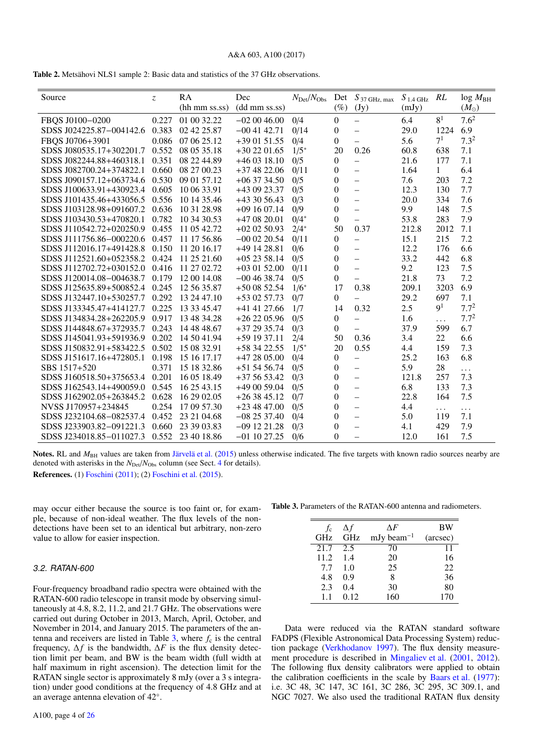## A&A 603, A100 (2017)

<span id="page-3-0"></span>

| Source                   | $\overline{z}$ | RA                    | Dec            | $N_{\rm Det}/N_{\rm Obs}$ | Det              | $S_{37 \text{ GHz, max}}$ | $S_{1.4 \text{ GHz}}$ | RL             | $log M_{BH}$     |
|--------------------------|----------------|-----------------------|----------------|---------------------------|------------------|---------------------------|-----------------------|----------------|------------------|
|                          |                | $(hh \, mm \, ss.ss)$ | (dd mm ss.ss)  |                           | (%)              | (Jy)                      | (mJy)                 |                | $(M_{\odot})$    |
| FBQS J0100-0200          | 0.227          | 01 00 32.22           | $-020046.00$   | 0/4                       | $\boldsymbol{0}$ | $\equiv$                  | 6.4                   | 8 <sup>1</sup> | 7.6 <sup>2</sup> |
| SDSS J024225.87-004142.6 | 0.383          | 02 42 25.87           | $-00$ 41 42.71 | 0/14                      | $\overline{0}$   | $\overline{\phantom{0}}$  | 29.0                  | 1224           | 6.9              |
| FBQS J0706+3901          | 0.086          | 07 06 25.12           | $+390151.55$   | 0/4                       | $\overline{0}$   | $\overline{\phantom{0}}$  | 5.6                   | 7 <sup>1</sup> | 7.3 <sup>2</sup> |
| SDSS J080535.17+302201.7 | 0.552          | 08 05 35.18           | $+302201.65$   | $1/5*$                    | 20               | 0.26                      | 60.8                  | 638            | 7.1              |
| SDSS J082244.88+460318.1 | 0.351          | 08 22 44.89           | $+460318.10$   | 0/5                       | $\overline{0}$   | $\overline{\phantom{0}}$  | 21.6                  | 177            | 7.1              |
| SDSS J082700.24+374822.1 | 0.660          | 08 27 00.23           | $+374822.06$   | 0/11                      | $\overline{0}$   | -                         | 1.64                  | $\mathbf{1}$   | 6.4              |
| SDSS J090157.12+063734.6 | 0.530          | 09 01 57.12           | $+063734.50$   | 0/5                       | $\theta$         | $\overline{\phantom{0}}$  | 7.6                   | 203            | 7.2              |
| SDSS J100633.91+430923.4 | 0.605          | 10 06 33.91           | +43 09 23.37   | 0/5                       | $\overline{0}$   | $\overline{\phantom{0}}$  | 12.3                  | 130            | 7.7              |
| SDSS J101435.46+433056.5 | 0.556          | 10 14 35.46           | +43 30 56.43   | 0/3                       | $\mathbf{0}$     | $\overline{\phantom{0}}$  | 20.0                  | 334            | 7.6              |
| SDSS J103128.98+091607.2 | 0.636          | 10 31 28.98           | $+091607.14$   | 0/9                       | $\theta$         | $\overline{\phantom{0}}$  | 9.9                   | 148            | 7.5              |
| SDSS J103430.53+470820.1 | 0.782          | 10 34 30.53           | $+470820.01$   | $0/4*$                    | $\overline{0}$   | $\overline{\phantom{0}}$  | 53.8                  | 283            | 7.9              |
| SDSS J110542.72+020250.9 | 0.455          | 11 05 42.72           | $+020250.93$   | $2/4*$                    | 50               | 0.37                      | 212.8                 | 2012           | 7.1              |
| SDSS J111756.86-000220.6 | 0.457          | 11 17 56.86           | $-000220.54$   | 0/11                      | $\overline{0}$   | $\overline{\phantom{0}}$  | 15.1                  | 215            | 7.2              |
| SDSS J112016.17+491428.8 | 0.150          | 11 20 16.17           | +49 14 28.81   | 0/6                       | $\boldsymbol{0}$ | $\overline{\phantom{0}}$  | 12.2                  | 176            | 6.6              |
| SDSS J112521.60+052358.2 | 0.424          | 11 25 21.60           | $+052358.14$   | 0/5                       | $\overline{0}$   | $\overline{\phantom{0}}$  | 33.2                  | 442            | 6.8              |
| SDSS J112702.72+030152.0 | 0.416          | 11 27 02.72           | $+030152.00$   | 0/11                      | $\Omega$         | $\overline{\phantom{0}}$  | 9.2                   | 123            | 7.5              |
| SDSS J120014.08-004638.7 | 0.179          | 12 00 14.08           | $-00$ 46 38.74 | 0/5                       | $\overline{0}$   | $\overline{\phantom{0}}$  | 21.8                  | 73             | 7.2              |
| SDSS J125635.89+500852.4 | 0.245          | 12 56 35.87           | $+500852.54$   | $1/6^*$                   | 17               | 0.38                      | 209.1                 | 3203           | 6.9              |
| SDSS J132447.10+530257.7 | 0.292          | 13 24 47.10           | $+530257.73$   | 0/7                       | $\overline{0}$   | $\overline{\phantom{0}}$  | 29.2                  | 697            | 7.1              |
| SDSS J133345.47+414127.7 | 0.225          | 13 33 45.47           | +41 41 27.66   | 1/7                       | 14               | 0.32                      | 2.5                   | 9 <sup>1</sup> | $7.7^{2}$        |
| SDSS J134834.28+262205.9 | 0.917          | 13 48 34.28           | $+262205.96$   | 0/5                       | $\overline{0}$   | $\overline{\phantom{0}}$  | 1.6                   | $\ddotsc$      | $7.7^{2}$        |
| SDSS J144848.67+372935.7 | 0.243          | 14 48 48.67           | $+372935.74$   | 0/3                       | $\overline{0}$   | $\overline{\phantom{0}}$  | 37.9                  | 599            | 6.7              |
| SDSS J145041.93+591936.9 | 0.202          | 14 50 41.94           | $+591937.11$   | 2/4                       | 50               | 0.36                      | 3.4                   | 22             | 6.6              |
| SDSS J150832.91+583422.5 | 0.502          | 15 08 32.91           | $+583422.55$   | $1/5*$                    | 20               | 0.55                      | 4.4                   | 159            | 7.3              |
| SDSS J151617.16+472805.1 | 0.198          | 15 16 17.17           | $+472805.00$   | 0/4                       | $\boldsymbol{0}$ | $\overline{\phantom{0}}$  | 25.2                  | 163            | 6.8              |
| SBS 1517+520             | 0.371          | 15 18 32.86           | $+515456.74$   | 0/5                       | $\overline{0}$   | $\overline{\phantom{0}}$  | 5.9                   | 28             | .                |
| SDSS J160518.50+375653.4 | 0.201          | 16 05 18.49           | $+375653.42$   | 0/3                       | $\overline{0}$   | $\overline{\phantom{0}}$  | 121.8                 | 257            | 7.3              |
| SDSS J162543.14+490059.0 | 0.545          | 16 25 43.15           | +49 00 59.04   | 0/5                       | $\Omega$         | $\overline{\phantom{0}}$  | 6.8                   | 133            | 7.3              |
| SDSS J162902.05+263845.2 | 0.628          | 16 29 02.05           | $+263845.12$   | 0/7                       | $\Omega$         | $\qquad \qquad -$         | 22.8                  | 164            | 7.5              |
| NVSS J170957+234845      | 0.254          | 17 09 57.30           | $+234847.00$   | 0/5                       | $\Omega$         | $\qquad \qquad -$         | 4.4                   | .              | $\cdots$         |
| SDSS J232104.68-082537.4 | 0.452          | 23 21 04.68           | $-082537.40$   | 0/4                       | $\overline{0}$   | $\overline{\phantom{0}}$  | 5.0                   | 119            | 7.1              |
| SDSS J233903.82-091221.3 | 0.660          | 23 39 03.83           | $-091221.28$   | 0/3                       | $\theta$         | $\overline{\phantom{0}}$  | 4.1                   | 429            | 7.9              |
| SDSS J234018.85-011027.3 | 0.552          | 23 40 18.86           | $-01$ 10 27.25 | 0/6                       | $\theta$         | $\overline{\phantom{0}}$  | 12.0                  | 161            | 7.5              |

Notes. RL and  $M_{\text{BH}}$  values are taken from [Järvelä et al.](#page-11-21) [\(2015\)](#page-11-21) unless otherwise indicated. The five targets with known radio sources nearby are denoted with asterisks in the  $N_{\text{Det}}/N_{\text{Obs}}$  column (see Sect. [4](#page-5-0) for details).

References. (1) [Foschini](#page-11-28) [\(2011\)](#page-11-28); (2) [Foschini et al.](#page-11-22) [\(2015\)](#page-11-22).

may occur either because the source is too faint or, for example, because of non-ideal weather. The flux levels of the nondetections have been set to an identical but arbitrary, non-zero value to allow for easier inspection.

## 3.2. RATAN-600

Four-frequency broadband radio spectra were obtained with the RATAN-600 radio telescope in transit mode by observing simultaneously at 4.8, 8.2, 11.2, and 21.7 GHz. The observations were carried out during October in 2013, March, April, October, and November in 2014, and January 2015. The parameters of the antenna and receivers are listed in Table  $3$ , where  $f_c$  is the central frequency,  $\Delta f$  is the bandwidth,  $\Delta F$  is the flux density detection limit per beam, and BW is the beam width (full width at half maximum in right ascension). The detection limit for the RATAN single sector is approximately 8 mJy (over a 3 s integration) under good conditions at the frequency of 4.8 GHz and at an average antenna elevation of 42◦ .

Table 3. Parameters of the RATAN-600 antenna and radiometers.

<span id="page-3-1"></span>

| fc   | Δf         | ΛF                                  | <b>BW</b> |
|------|------------|-------------------------------------|-----------|
| GHz  | <b>GHz</b> | mJy beam <sup><math>-1</math></sup> | (arcsec)  |
| 21.7 | 2.5        | 70                                  | 11        |
| 11.2 | 1.4        | 20                                  | 16        |
| 7.7  | 1.0        | 25                                  | 22        |
| 4.8  | 0.9        | 8                                   | 36        |
| 2.3  | 0.4        | 30                                  | 80        |
| 1.1  | 0.12       | 160                                 | 170       |
|      |            |                                     |           |

Data were reduced via the RATAN standard software FADPS (Flexible Astronomical Data Processing System) reduction package [\(Verkhodanov](#page-11-33) [1997\)](#page-11-33). The flux density measurement procedure is described in [Mingaliev et al.](#page-11-34) [\(2001,](#page-11-34) [2012\)](#page-11-35). The following flux density calibrators were applied to obtain the calibration coefficients in the scale by [Baars et al.](#page-11-36) [\(1977\)](#page-11-36): i.e. 3C 48, 3C 147, 3C 161, 3C 286, 3C 295, 3C 309.1, and NGC 7027. We also used the traditional RATAN flux density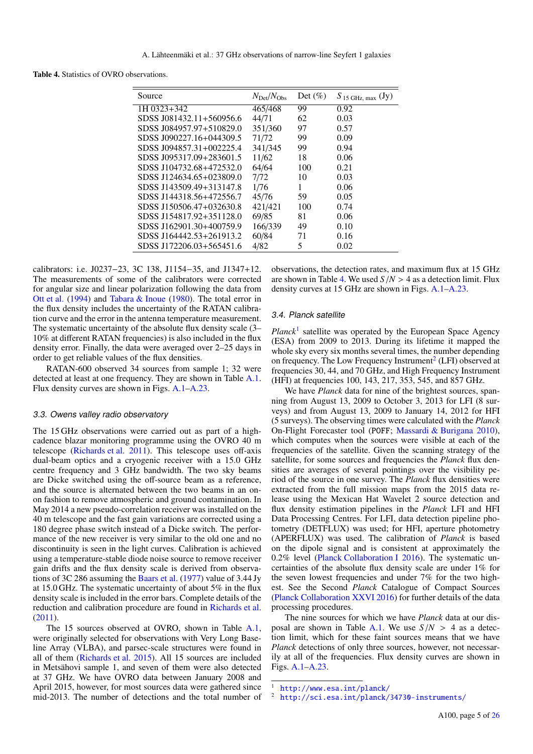<span id="page-4-0"></span>Table 4. Statistics of OVRO observations.

| $N_{\rm Det}/N_{\rm Obs}$ | Det $(\%)$ | $S_{15 \text{ GHz, max}}$ (Jy) |
|---------------------------|------------|--------------------------------|
| 465/468                   | 99         | 0.92                           |
| 44/71                     | 62         | 0.03                           |
| 351/360                   | 97         | 0.57                           |
| 71/72                     | 99         | 0.09                           |
| 341/345                   | 99         | 0.94                           |
| 11/62                     | 18         | 0.06                           |
| 64/64                     | 100        | 0.21                           |
| 7/72                      | 10         | 0.03                           |
| 1/76                      | 1          | 0.06                           |
| 45/76                     | 59         | 0.05                           |
| 421/421                   | 100        | 0.74                           |
| 69/85                     | 81         | 0.06                           |
| 166/339                   | 49         | 0.10                           |
| 60/84                     | 71         | 0.16                           |
| 4/82                      | 5          | 0.02                           |
|                           |            |                                |

calibrators: i.e. J0237−23, 3C 138, J1154−35, and J1347+12. The measurements of some of the calibrators were corrected for angular size and linear polarization following the data from [Ott et al.](#page-11-37) [\(1994\)](#page-11-37) and [Tabara & Inoue](#page-11-38) [\(1980\)](#page-11-38). The total error in the flux density includes the uncertainty of the RATAN calibration curve and the error in the antenna temperature measurement. The systematic uncertainty of the absolute flux density scale (3– 10% at different RATAN frequencies) is also included in the flux density error. Finally, the data were averaged over 2–25 days in order to get reliable values of the flux densities.

RATAN-600 observed 34 sources from sample 1; 32 were detected at least at one frequency. They are shown in Table [A.1.](#page-12-0) Flux density curves are shown in Figs. [A.1](#page-15-0)[–A.23.](#page-18-0)

#### 3.3. Owens valley radio observatory

The 15 GHz observations were carried out as part of a highcadence blazar monitoring programme using the OVRO 40 m telescope [\(Richards et al.](#page-11-39) [2011\)](#page-11-39). This telescope uses off-axis dual-beam optics and a cryogenic receiver with a 15.0 GHz centre frequency and 3 GHz bandwidth. The two sky beams are Dicke switched using the off-source beam as a reference, and the source is alternated between the two beams in an onon fashion to remove atmospheric and ground contamination. In May 2014 a new pseudo-correlation receiver was installed on the 40 m telescope and the fast gain variations are corrected using a 180 degree phase switch instead of a Dicke switch. The performance of the new receiver is very similar to the old one and no discontinuity is seen in the light curves. Calibration is achieved using a temperature-stable diode noise source to remove receiver gain drifts and the flux density scale is derived from observations of 3C 286 assuming the [Baars et al.](#page-11-36) [\(1977\)](#page-11-36) value of 3.44 Jy at 15.0 GHz. The systematic uncertainty of about 5% in the flux density scale is included in the error bars. Complete details of the reduction and calibration procedure are found in [Richards et al.](#page-11-39) [\(2011\)](#page-11-39).

The 15 sources observed at OVRO, shown in Table [A.1,](#page-12-0) were originally selected for observations with Very Long Baseline Array (VLBA), and parsec-scale structures were found in all of them [\(Richards et al.](#page-11-19) [2015\)](#page-11-19). All 15 sources are included in Metsähovi sample 1, and seven of them were also detected at 37 GHz. We have OVRO data between January 2008 and April 2015, however, for most sources data were gathered since mid-2013. The number of detections and the total number of

observations, the detection rates, and maximum flux at 15 GHz are shown in Table [4.](#page-4-0) We used  $S/N > 4$  as a detection limit. Flux density curves at 15 GHz are shown in Figs. [A.1](#page-15-0)[–A.23.](#page-18-0)

#### 3.4. Planck satellite

Planck<sup>[1](#page-4-1)</sup> satellite was operated by the European Space Agency (ESA) from 2009 to 2013. During its lifetime it mapped the whole sky every six months several times, the number depending on frequency. The Low Frequency Instrument<sup>[2](#page-4-2)</sup> (LFI) observed at frequencies 30, 44, and 70 GHz, and High Frequency Instrument (HFI) at frequencies 100, 143, 217, 353, 545, and 857 GHz.

We have *Planck* data for nine of the brightest sources, spanning from August 13, 2009 to October 3, 2013 for LFI (8 surveys) and from August 13, 2009 to January 14, 2012 for HFI (5 surveys). The observing times were calculated with the *Planck* On-Flight Forecaster tool (POFF; [Massardi & Burigana](#page-11-40) [2010\)](#page-11-40), which computes when the sources were visible at each of the frequencies of the satellite. Given the scanning strategy of the satellite, for some sources and frequencies the *Planck* flux densities are averages of several pointings over the visibility period of the source in one survey. The *Planck* flux densities were extracted from the full mission maps from the 2015 data release using the Mexican Hat Wavelet 2 source detection and flux density estimation pipelines in the *Planck* LFI and HFI Data Processing Centres. For LFI, data detection pipeline photometry (DETFLUX) was used; for HFI, aperture photometry (APERFLUX) was used. The calibration of *Planck* is based on the dipole signal and is consistent at approximately the 0.2% level [\(Planck Collaboration I](#page-11-41) [2016\)](#page-11-41). The systematic uncertainties of the absolute flux density scale are under 1% for the seven lowest frequencies and under 7% for the two highest. See the Second *Planck* Catalogue of Compact Sources [\(Planck Collaboration XXVI](#page-11-42) [2016\)](#page-11-42) for further details of the data processing procedures.

The nine sources for which we have *Planck* data at our dis-posal are shown in Table [A.1.](#page-12-0) We use  $S/N > 4$  as a detection limit, which for these faint sources means that we have *Planck* detections of only three sources, however, not necessarily at all of the frequencies. Flux density curves are shown in Figs. [A.1](#page-15-0)[–A.23.](#page-18-0)

<span id="page-4-2"></span><span id="page-4-1"></span><http://www.esa.int/planck/>

<http://sci.esa.int/planck/34730-instruments/>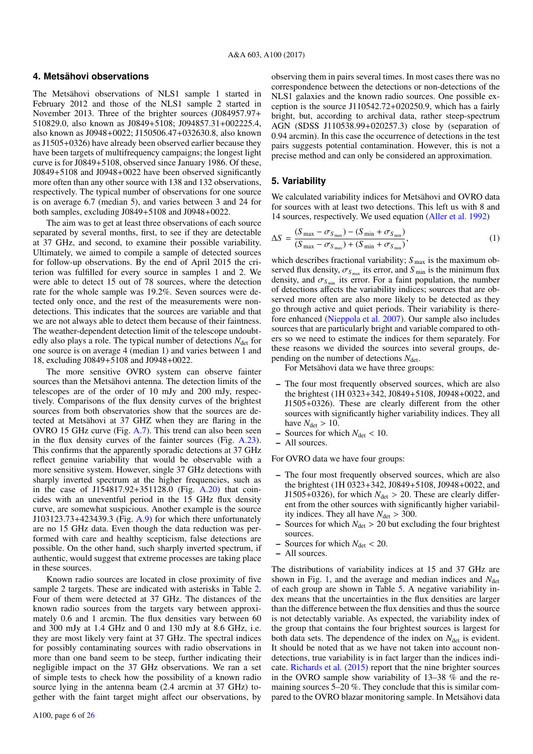## <span id="page-5-0"></span>**4. Metsähovi observations**

The Metsähovi observations of NLS1 sample 1 started in February 2012 and those of the NLS1 sample 2 started in November 2013. Three of the brighter sources (J084957.97+ 510829.0, also known as J0849+5108; J094857.31+002225.4, also known as J0948+0022; J150506.47+032630.8, also known as J1505+0326) have already been observed earlier because they have been targets of multifrequency campaigns; the longest light curve is for J0849+5108, observed since January 1986. Of these, J0849+5108 and J0948+0022 have been observed significantly more often than any other source with 138 and 132 observations, respectively. The typical number of observations for one source is on average 6.7 (median 5), and varies between 3 and 24 for both samples, excluding J0849+5108 and J0948+0022.

The aim was to get at least three observations of each source separated by several months, first, to see if they are detectable at 37 GHz, and second, to examine their possible variability. Ultimately, we aimed to compile a sample of detected sources for follow-up observations. By the end of April 2015 the criterion was fulfilled for every source in samples 1 and 2. We were able to detect 15 out of 78 sources, where the detection rate for the whole sample was 19.2%. Seven sources were detected only once, and the rest of the measurements were nondetections. This indicates that the sources are variable and that we are not always able to detect them because of their faintness. The weather-dependent detection limit of the telescope undoubtedly also plays a role. The typical number of detections  $N_{\text{det}}$  for one source is on average 4 (median 1) and varies between 1 and 18, excluding J0849+5108 and J0948+0022.

The more sensitive OVRO system can observe fainter sources than the Metsähovi antenna. The detection limits of the telescopes are of the order of 10 mJy and 200 mJy, respectively. Comparisons of the flux density curves of the brightest sources from both observatories show that the sources are detected at Metsähovi at 37 GHZ when they are flaring in the OVRO 15 GHz curve (Fig. [A.7\)](#page-16-0). This trend can also been seen in the flux density curves of the fainter sources (Fig. [A.23\)](#page-18-0). This confirms that the apparently sporadic detections at 37 GHz reflect genuine variability that would be observable with a more sensitive system. However, single 37 GHz detections with sharply inverted spectrum at the higher frequencies, such as in the case of J154817.92+351128.0 (Fig. [A.20\)](#page-18-1) that coincides with an uneventful period in the 15 GHz flux density curve, are somewhat suspicious. Another example is the source J103123.73+423439.3 (Fig.  $A.9$ ) for which there unfortunately are no 15 GHz data. Even though the data reduction was performed with care and healthy scepticism, false detections are possible. On the other hand, such sharply inverted spectrum, if authentic, would suggest that extreme processes are taking place in these sources.

Known radio sources are located in close proximity of five sample 2 targets. These are indicated with asterisks in Table [2.](#page-3-0) Four of them were detected at 37 GHz. The distances of the known radio sources from the targets vary between approximately 0.6 and 1 arcmin. The flux densities vary between 60 and 300 mJy at 1.4 GHz and 0 and 130 mJy at 8.6 GHz, i.e. they are most likely very faint at 37 GHz. The spectral indices for possibly contaminating sources with radio observations in more than one band seem to be steep, further indicating their negligible impact on the 37 GHz observations. We ran a set of simple tests to check how the possibility of a known radio source lying in the antenna beam (2.4 arcmin at 37 GHz) together with the faint target might affect our observations, by

observing them in pairs several times. In most cases there was no correspondence between the detections or non-detections of the NLS1 galaxies and the known radio sources. One possible exception is the source J110542.72+020250.9, which has a fairly bright, but, according to archival data, rather steep-spectrum AGN (SDSS J110538.99+020257.3) close by (separation of 0.94 arcmin). In this case the occurrence of detections in the test pairs suggests potential contamination. However, this is not a precise method and can only be considered an approximation.

## **5. Variability**

We calculated variability indices for Metsähovi and OVRO data for sources with at least two detections. This left us with 8 and 14 sources, respectively. We used equation [\(Aller et al.](#page-11-43) [1992\)](#page-11-43)

$$
\Delta S = \frac{(S_{\text{max}} - \sigma_{S_{\text{max}}}) - (S_{\text{min}} + \sigma_{S_{\text{min}}})}{(S_{\text{max}} - \sigma_{S_{\text{max}}}) + (S_{\text{min}} + \sigma_{S_{\text{min}}})},
$$
(1)

which describes fractional variability;  $S_{\text{max}}$  is the maximum observed flux density,  $\sigma_{S_{\text{max}}}$  its error, and  $S_{\text{min}}$  is the minimum flux density and  $\sigma_{S_{\text{max}}}$  its error. For a faint population, the number density, and  $\sigma_{S_{\text{min}}}$  its error. For a faint population, the number of detections affects the variability indices; sources that are observed more often are also more likely to be detected as they go through active and quiet periods. Their variability is therefore enhanced [\(Nieppola et al.](#page-11-44) [2007\)](#page-11-44). Our sample also includes sources that are particularly bright and variable compared to others so we need to estimate the indices for them separately. For these reasons we divided the sources into several groups, depending on the number of detections  $N_{\text{det}}$ .

For Metsähovi data we have three groups:

- The four most frequently observed sources, which are also the brightest (1H 0323+342, J0849+5108, J0948+0022, and J1505+0326). These are clearly different from the other sources with significantly higher variability indices. They all have  $N_{\text{det}} > 10$ .
- $-$  Sources for which  $N_{\text{det}} < 10$ .
- All sources.

For OVRO data we have four groups:

- The four most frequently observed sources, which are also the brightest (1H 0323+342, J0849+5108, J0948+0022, and J1505+0326), for which  $N_{\text{det}} > 20$ . These are clearly different from the other sources with significantly higher variability indices. They all have  $N_{\text{det}} > 300$ .
- Sources for which  $N_{\text{det}} > 20$  but excluding the four brightest sources.
- $-$  Sources for which  $N_{\text{det}} < 20$ .
- All sources.

The distributions of variability indices at 15 and 37 GHz are shown in Fig. [1,](#page-6-0) and the average and median indices and  $N_{\text{det}}$ of each group are shown in Table [5.](#page-6-1) A negative variability index means that the uncertainties in the flux densities are larger than the difference between the flux densities and thus the source is not detectably variable. As expected, the variability index of the group that contains the four brightest sources is largest for both data sets. The dependence of the index on  $N_{\text{det}}$  is evident. It should be noted that as we have not taken into account nondetections, true variability is in fact larger than the indices indicate. [Richards et al.](#page-11-19) [\(2015\)](#page-11-19) report that the nine brighter sources in the OVRO sample show variability of 13–38 % and the remaining sources 5–20 %. They conclude that this is similar compared to the OVRO blazar monitoring sample. In Metsähovi data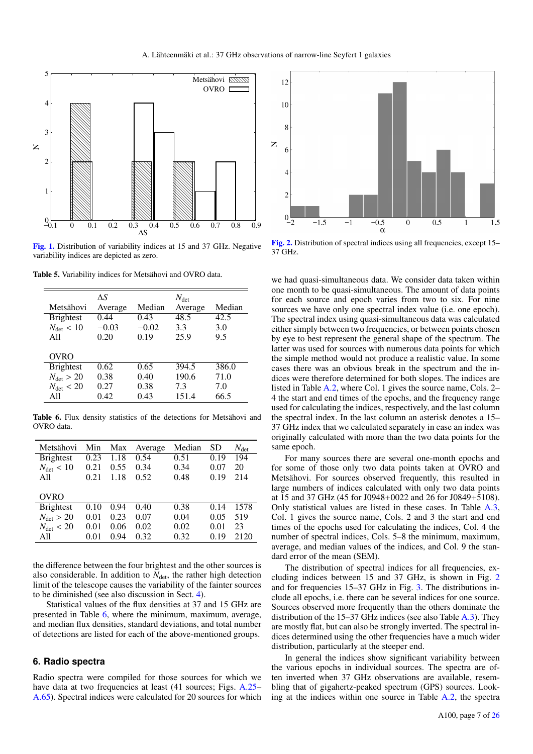

<span id="page-6-0"></span>[Fig. 1.](http://dexter.edpsciences.org/applet.php?DOI=10.1051/0004-6361/201630257&pdf_id=1) Distribution of variability indices at 15 and 37 GHz. Negative variability indices are depicted as zero.

Table 5. Variability indices for Metsähovi and OVRO data.

<span id="page-6-1"></span>

|                       | ΔS      |         | $N_{\rm det}$ |        |
|-----------------------|---------|---------|---------------|--------|
| Metsähovi             | Average | Median  | Average       | Median |
| <b>Brightest</b>      | 0.44    | 0.43    | 48.5          | 42.5   |
| $N_{\text{det}} < 10$ | $-0.03$ | $-0.02$ | 3.3           | 3.0    |
| A11                   | 0.20    | 0.19    | 25.9          | 9.5    |
|                       |         |         |               |        |
| <b>OVRO</b>           |         |         |               |        |
| <b>Brightest</b>      | 0.62    | 0.65    | 394.5         | 386.0  |
| $N_{\text{det}} > 20$ | 0.38    | 0.40    | 190.6         | 71.0   |
| $N_{\text{det}} < 20$ | 0.27    | 0.38    | 7.3           | 7.0    |
| All                   | 0.42    | 0.43    | 151.4         | 66.5   |

<span id="page-6-2"></span>Table 6. Flux density statistics of the detections for Metsähovi and OVRO data.

| Metsähovi             | Min  | Max  | Average | Median | <b>SD</b> | $N_{\rm det}$ |
|-----------------------|------|------|---------|--------|-----------|---------------|
| <b>Brightest</b>      | 0.23 | 1.18 | 0.54    | 0.51   | 0.19      | 194           |
| $N_{\text{det}} < 10$ | 0.21 | 0.55 | 0.34    | 0.34   | 0.07      | 20            |
| A11                   | 0.21 | 1.18 | 0.52    | 0.48   | 0.19      | 214           |
|                       |      |      |         |        |           |               |
| OVRO                  |      |      |         |        |           |               |
| <b>Brightest</b>      | 0.10 | 0.94 | 0.40    | 0.38   | 0.14      | 1578          |
| $N_{\text{det}} > 20$ | 0.01 | 0.23 | 0.07    | 0.04   | 0.05      | 519           |
| $N_{\text{det}} < 20$ | 0.01 | 0.06 | 0.02    | 0.02   | 0.01      | 23            |
| A11                   | 0.01 | 0.94 | 0.32    | 0.32   | 0.19      | 2120          |

the difference between the four brightest and the other sources is also considerable. In addition to  $N_{\text{det}}$ , the rather high detection limit of the telescope causes the variability of the fainter sources to be diminished (see also discussion in Sect. [4\)](#page-5-0).

Statistical values of the flux densities at 37 and 15 GHz are presented in Table [6,](#page-6-2) where the minimum, maximum, average, and median flux densities, standard deviations, and total number of detections are listed for each of the above-mentioned groups.

## **6. Radio spectra**

Radio spectra were compiled for those sources for which we have data at two frequencies at least (41 sources; Figs. [A.25–](#page-19-0) [A.65\)](#page-25-1). Spectral indices were calculated for 20 sources for which



<span id="page-6-3"></span>[Fig. 2.](http://dexter.edpsciences.org/applet.php?DOI=10.1051/0004-6361/201630257&pdf_id=2) Distribution of spectral indices using all frequencies, except 15– 37 GHz.

we had quasi-simultaneous data. We consider data taken within one month to be quasi-simultaneous. The amount of data points for each source and epoch varies from two to six. For nine sources we have only one spectral index value (i.e. one epoch). The spectral index using quasi-simultaneous data was calculated either simply between two frequencies, or between points chosen by eye to best represent the general shape of the spectrum. The latter was used for sources with numerous data points for which the simple method would not produce a realistic value. In some cases there was an obvious break in the spectrum and the indices were therefore determined for both slopes. The indices are listed in Table [A.2,](#page-13-0) where Col. 1 gives the source name, Cols. 2– 4 the start and end times of the epochs, and the frequency range used for calculating the indices, respectively, and the last column the spectral index. In the last column an asterisk denotes a 15– 37 GHz index that we calculated separately in case an index was originally calculated with more than the two data points for the same epoch.

For many sources there are several one-month epochs and for some of those only two data points taken at OVRO and Metsähovi. For sources observed frequently, this resulted in large numbers of indices calculated with only two data points at 15 and 37 GHz (45 for J0948+0022 and 26 for J0849+5108). Only statistical values are listed in these cases. In Table [A.3,](#page-14-0) Col. 1 gives the source name, Cols. 2 and 3 the start and end times of the epochs used for calculating the indices, Col. 4 the number of spectral indices, Cols. 5–8 the minimum, maximum, average, and median values of the indices, and Col. 9 the standard error of the mean (SEM).

The distribution of spectral indices for all frequencies, excluding indices between 15 and 37 GHz, is shown in Fig. [2](#page-6-3) and for frequencies 15–37 GHz in Fig. [3.](#page-7-0) The distributions include all epochs, i.e. there can be several indices for one source. Sources observed more frequently than the others dominate the distribution of the 15–37 GHz indices (see also Table [A.3\)](#page-14-0). They are mostly flat, but can also be strongly inverted. The spectral indices determined using the other frequencies have a much wider distribution, particularly at the steeper end.

In general the indices show significant variability between the various epochs in individual sources. The spectra are often inverted when 37 GHz observations are available, resembling that of gigahertz-peaked spectrum (GPS) sources. Looking at the indices within one source in Table [A.2,](#page-13-0) the spectra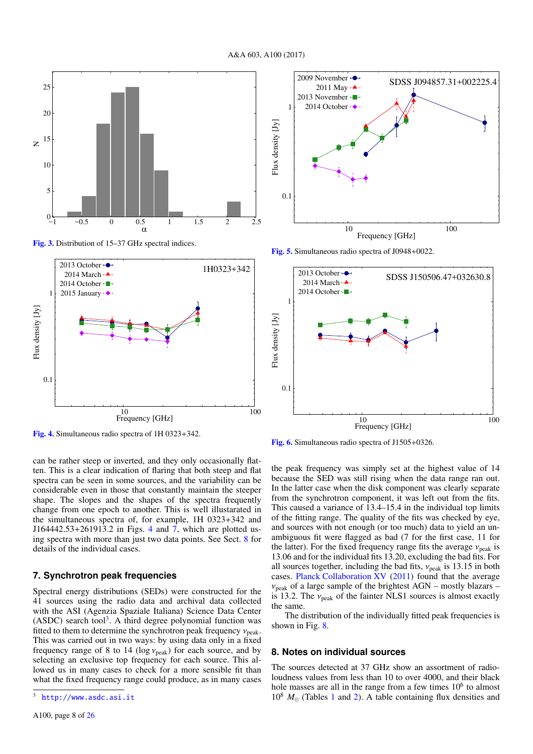

<span id="page-7-0"></span>[Fig. 3.](http://dexter.edpsciences.org/applet.php?DOI=10.1051/0004-6361/201630257&pdf_id=3) Distribution of 15–37 GHz spectral indices.





<span id="page-7-4"></span>[Fig. 5.](http://dexter.edpsciences.org/applet.php?DOI=10.1051/0004-6361/201630257&pdf_id=5) Simultaneous radio spectra of J0948+0022.



<span id="page-7-1"></span>[Fig. 4.](http://dexter.edpsciences.org/applet.php?DOI=10.1051/0004-6361/201630257&pdf_id=4) Simultaneous radio spectra of 1H 0323+342.

can be rather steep or inverted, and they only occasionally flatten. This is a clear indication of flaring that both steep and flat spectra can be seen in some sources, and the variability can be considerable even in those that constantly maintain the steeper shape. The slopes and the shapes of the spectra frequently change from one epoch to another. This is well illustarated in the simultaneous spectra of, for example, 1H 0323+342 and J164442.53+261913.2 in Figs. [4](#page-7-1) and [7,](#page-8-0) which are plotted using spectra with more than just two data points. See Sect. [8](#page-7-2) for details of the individual cases.

## **7. Synchrotron peak frequencies**

Spectral energy distributions (SEDs) were constructed for the 41 sources using the radio data and archival data collected with the ASI (Agenzia Spaziale Italiana) Science Data Center  $(ASDC)$  search tool<sup>[3](#page-7-3)</sup>. A third degree polynomial function was fitted to them to determine the synchrotron peak frequency  $v_{\text{peak}}$ . This was carried out in two ways: by using data only in a fixed frequency range of 8 to 14 ( $log v_{peak}$ ) for each source, and by selecting an exclusive top frequency for each source. This allowed us in many cases to check for a more sensible fit than what the fixed frequency range could produce, as in many cases <span id="page-7-5"></span>[Fig. 6.](http://dexter.edpsciences.org/applet.php?DOI=10.1051/0004-6361/201630257&pdf_id=6) Simultaneous radio spectra of J1505+0326.

the peak frequency was simply set at the highest value of 14 because the SED was still rising when the data range ran out. In the latter case when the disk component was clearly separate from the synchrotron component, it was left out from the fits. This caused a variance of 13.4–15.4 in the individual top limits of the fitting range. The quality of the fits was checked by eye, and sources with not enough (or too much) data to yield an unambiguous fit were flagged as bad (7 for the first case, 11 for the latter). For the fixed frequency range fits the average  $v_{\text{peak}}$  is 13.06 and for the individual fits 13.20, excluding the bad fits. For all sources together, including the bad fits,  $v_{\text{peak}}$  is 13.15 in both cases. [Planck Collaboration XV](#page-11-45) [\(2011\)](#page-11-45) found that the average  $v_{\text{peak}}$  of a large sample of the brightest AGN – mostly blazars – is 13.2. The  $v_{\text{peak}}$  of the fainter NLS1 sources is almost exactly the same.

The distribution of the individually fitted peak frequencies is shown in Fig. [8.](#page-8-1)

#### <span id="page-7-2"></span>**8. Notes on individual sources**

The sources detected at 37 GHz show an assortment of radioloudness values from less than 10 to over 4000, and their black hole masses are all in the range from a few times  $10<sup>6</sup>$  to almost  $10^8$  $10^8$   $M_{\odot}$  (Tables 1 and [2\)](#page-3-0). A table containing flux densities and

<span id="page-7-3"></span><sup>3</sup> <http://www.asdc.asi.it>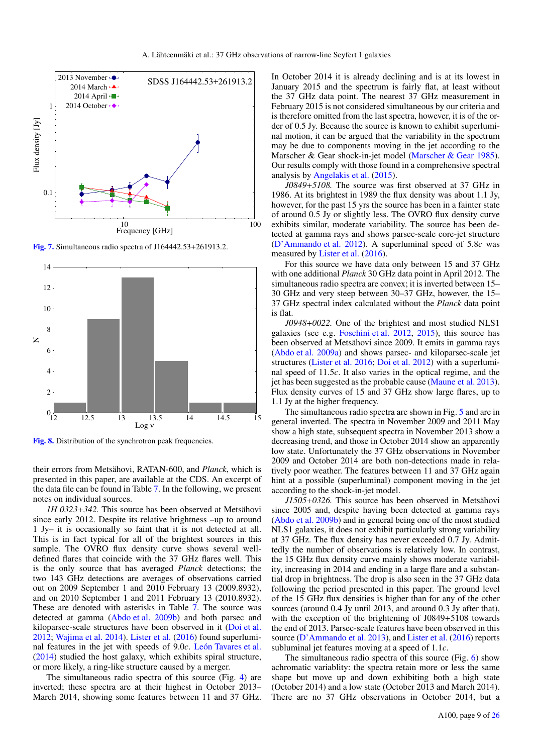

<span id="page-8-0"></span>[Fig. 7.](http://dexter.edpsciences.org/applet.php?DOI=10.1051/0004-6361/201630257&pdf_id=7) Simultaneous radio spectra of J164442.53+261913.2.



<span id="page-8-1"></span>[Fig. 8.](http://dexter.edpsciences.org/applet.php?DOI=10.1051/0004-6361/201630257&pdf_id=8) Distribution of the synchrotron peak frequencies.

their errors from Metsähovi, RATAN-600, and *Planck*, which is presented in this paper, are available at the CDS. An excerpt of the data file can be found in Table [7.](#page-9-0) In the following, we present notes on individual sources.

*1H 0323*+*342.* This source has been observed at Metsähovi since early 2012. Despite its relative brightness –up to around 1 Jy– it is occasionally so faint that it is not detected at all. This is in fact typical for all of the brightest sources in this sample. The OVRO flux density curve shows several welldefined flares that coincide with the 37 GHz flares well. This is the only source that has averaged *Planck* detections; the two 143 GHz detections are averages of observations carried out on 2009 September 1 and 2010 February 13 (2009.8932), and on 2010 September 1 and 2011 February 13 (2010.8932). These are denoted with asterisks in Table [7.](#page-9-0) The source was detected at gamma [\(Abdo et al.](#page-11-46) [2009b\)](#page-11-46) and both parsec and kiloparsec-scale structures have been observed in it [\(Doi et al.](#page-11-14) [2012;](#page-11-14) [Wajima et al.](#page-11-47) [2014\)](#page-11-47). [Lister et al.](#page-11-20) [\(2016\)](#page-11-20) found superluminal features in the jet with speeds of 9.0*c*. [León Tavares et al.](#page-11-7) [\(2014\)](#page-11-7) studied the host galaxy, which exhibits spiral structure, or more likely, a ring-like structure caused by a merger.

The simultaneous radio spectra of this source (Fig. [4\)](#page-7-1) are inverted; these spectra are at their highest in October 2013– March 2014, showing some features between 11 and 37 GHz. In October 2014 it is already declining and is at its lowest in January 2015 and the spectrum is fairly flat, at least without the 37 GHz data point. The nearest 37 GHz measurement in February 2015 is not considered simultaneous by our criteria and is therefore omitted from the last spectra, however, it is of the order of 0.5 Jy. Because the source is known to exhibit superluminal motion, it can be argued that the variability in the spectrum may be due to components moving in the jet according to the Marscher & Gear shock-in-jet model [\(Marscher & Gear](#page-11-48) [1985\)](#page-11-48). Our results comply with those found in a comprehensive spectral analysis by [Angelakis et al.](#page-11-27) [\(2015\)](#page-11-27).

*J0849*+*5108.* The source was first observed at 37 GHz in 1986. At its brightest in 1989 the flux density was about 1.1 Jy, however, for the past 15 yrs the source has been in a fainter state of around 0.5 Jy or slightly less. The OVRO flux density curve exhibits similar, moderate variability. The source has been detected at gamma rays and shows parsec-scale core-jet structure [\(D'Ammando et al.](#page-11-49) [2012\)](#page-11-49). A superluminal speed of 5.8*c* was measured by [Lister et al.](#page-11-20) [\(2016\)](#page-11-20).

For this source we have data only between 15 and 37 GHz with one additional *Planck* 30 GHz data point in April 2012. The simultaneous radio spectra are convex; it is inverted between 15– 30 GHz and very steep between 30–37 GHz, however, the 15– 37 GHz spectral index calculated without the *Planck* data point is flat.

*J0948*+*0022.* One of the brightest and most studied NLS1 galaxies (see e.g. [Foschini et al.](#page-11-50) [2012,](#page-11-50) [2015\)](#page-11-22), this source has been observed at Metsähovi since 2009. It emits in gamma rays [\(Abdo et al.](#page-11-23) [2009a\)](#page-11-23) and shows parsec- and kiloparsec-scale jet structures [\(Lister et al.](#page-11-20) [2016;](#page-11-20) [Doi et al.](#page-11-14) [2012\)](#page-11-14) with a superluminal speed of 11.5*c*. It also varies in the optical regime, and the jet has been suggested as the probable cause [\(Maune et al.](#page-11-51) [2013\)](#page-11-51). Flux density curves of 15 and 37 GHz show large flares, up to 1.1 Jy at the higher frequency.

The simultaneous radio spectra are shown in Fig. [5](#page-7-4) and are in general inverted. The spectra in November 2009 and 2011 May show a high state, subsequent spectra in November 2013 show a decreasing trend, and those in October 2014 show an apparently low state. Unfortunately the 37 GHz observations in November 2009 and October 2014 are both non-detections made in relatively poor weather. The features between 11 and 37 GHz again hint at a possible (superluminal) component moving in the jet according to the shock-in-jet model.

*J1505*+*0326.* This source has been observed in Metsähovi since 2005 and, despite having been detected at gamma rays [\(Abdo et al.](#page-11-46) [2009b\)](#page-11-46) and in general being one of the most studied NLS1 galaxies, it does not exhibit particularly strong variability at 37 GHz. The flux density has never exceeded 0.7 Jy. Admittedly the number of observations is relatively low. In contrast, the 15 GHz flux density curve mainly shows moderate variability, increasing in 2014 and ending in a large flare and a substantial drop in brightness. The drop is also seen in the 37 GHz data following the period presented in this paper. The ground level of the 15 GHz flux densities is higher than for any of the other sources (around 0.4 Jy until 2013, and around 0.3 Jy after that), with the exception of the brightening of  $J0849+5108$  towards the end of 2013. Parsec-scale features have been observed in this source [\(D'Ammando et al.](#page-11-52) [2013\)](#page-11-52), and [Lister et al.](#page-11-20) [\(2016\)](#page-11-20) reports subluminal jet features moving at a speed of 1.1*c*.

The simultaneous radio spectra of this source (Fig. [6\)](#page-7-5) show achromatic variablity: the spectra retain more or less the same shape but move up and down exhibiting both a high state (October 2014) and a low state (October 2013 and March 2014). There are no 37 GHz observations in October 2014, but a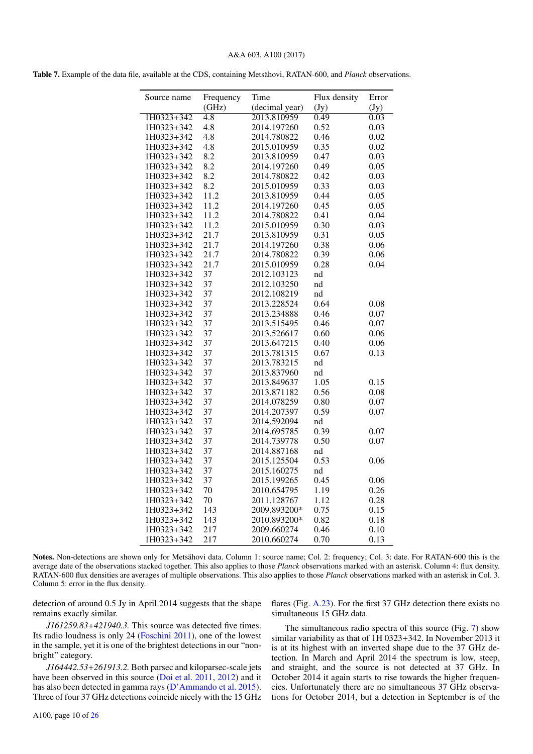## A&A 603, A100 (2017)

<span id="page-9-0"></span>Table 7. Example of the data file, available at the CDS, containing Metsähovi, RATAN-600, and *Planck* observations.

| Source name | Frequency        | Time           | Flux density | Error        |
|-------------|------------------|----------------|--------------|--------------|
|             | (GHz)            | (decimal year) | (Jy)         | (Jy)         |
| 1H0323+342  | $\overline{4.8}$ | 2013.810959    | 0.49         | 0.03         |
| 1H0323+342  | 4.8              | 2014.197260    | 0.52         | 0.03         |
| 1H0323+342  | 4.8              | 2014.780822    | 0.46         | 0.02         |
| 1H0323+342  | 4.8              | 2015.010959    | 0.35         | 0.02         |
| 1H0323+342  | 8.2              | 2013.810959    | 0.47         | 0.03         |
| 1H0323+342  | 8.2              | 2014.197260    | 0.49         | 0.05         |
| 1H0323+342  | 8.2              | 2014.780822    | 0.42         | 0.03         |
| 1H0323+342  | 8.2              | 2015.010959    | 0.33         | 0.03         |
| 1H0323+342  | 11.2             | 2013.810959    | 0.44         | 0.05         |
| 1H0323+342  | 11.2             | 2014.197260    | 0.45         | 0.05         |
| 1H0323+342  | 11.2             | 2014.780822    | 0.41         | 0.04         |
| 1H0323+342  | 11.2             | 2015.010959    | 0.30         | 0.03         |
| 1H0323+342  | 21.7             | 2013.810959    | 0.31         | 0.05         |
| 1H0323+342  | 21.7             | 2014.197260    | 0.38         | 0.06         |
| 1H0323+342  | 21.7             | 2014.780822    | 0.39         | 0.06         |
| 1H0323+342  | 21.7             | 2015.010959    | 0.28         | 0.04         |
| 1H0323+342  | 37               | 2012.103123    | nd           |              |
| 1H0323+342  | 37               | 2012.103250    | nd           |              |
| 1H0323+342  | 37               | 2012.108219    | nd           |              |
| 1H0323+342  | 37               | 2013.228524    | 0.64         | 0.08         |
| 1H0323+342  | 37               | 2013.234888    | 0.46         | 0.07         |
| 1H0323+342  | 37               | 2013.515495    | 0.46         | 0.07         |
| 1H0323+342  | 37               | 2013.526617    | 0.60         | 0.06         |
| 1H0323+342  | 37               | 2013.647215    | 0.40         | 0.06         |
| 1H0323+342  | 37               | 2013.781315    | 0.67         | 0.13         |
| 1H0323+342  | 37               | 2013.783215    | nd           |              |
| 1H0323+342  | 37               | 2013.837960    | nd           |              |
| 1H0323+342  | 37               | 2013.849637    | 1.05         | 0.15         |
| 1H0323+342  | 37               | 2013.871182    | 0.56         | 0.08         |
| 1H0323+342  | 37               | 2014.078259    | 0.80         |              |
| 1H0323+342  | 37               | 2014.207397    | 0.59         | 0.07<br>0.07 |
| 1H0323+342  | 37               |                |              |              |
|             |                  | 2014.592094    | nd           |              |
| 1H0323+342  | 37               | 2014.695785    | 0.39         | 0.07         |
| 1H0323+342  | 37               | 2014.739778    | 0.50         | 0.07         |
| 1H0323+342  | 37               | 2014.887168    | nd           |              |
| 1H0323+342  | 37               | 2015.125504    | 0.53         | 0.06         |
| 1H0323+342  | 37               | 2015.160275    | nd           |              |
| 1H0323+342  | 37               | 2015.199265    | 0.45         | 0.06         |
| 1H0323+342  | 70               | 2010.654795    | 1.19         | 0.26         |
| 1H0323+342  | 70               | 2011.128767    | 1.12         | 0.28         |
| 1H0323+342  | 143              | 2009.893200*   | 0.75         | 0.15         |
| 1H0323+342  | 143              | 2010.893200*   | 0.82         | 0.18         |
| 1H0323+342  | 217              | 2009.660274    | 0.46         | 0.10         |
| 1H0323+342  | 217              | 2010.660274    | 0.70         | 0.13         |

Notes. Non-detections are shown only for Metsähovi data. Column 1: source name; Col. 2: frequency; Col. 3: date. For RATAN-600 this is the average date of the observations stacked together. This also applies to those *Planck* observations marked with an asterisk. Column 4: flux density. RATAN-600 flux densities are averages of multiple observations. This also applies to those *Planck* observations marked with an asterisk in Col. 3. Column 5: error in the flux density.

detection of around 0.5 Jy in April 2014 suggests that the shape remains exactly similar.

*J161259.83*+*421940.3.* This source was detected five times. Its radio loudness is only 24 [\(Foschini](#page-11-28) [2011\)](#page-11-28), one of the lowest in the sample, yet it is one of the brightest detections in our "nonbright" category.

*J164442.53*+*261913.2.* Both parsec and kiloparsec-scale jets have been observed in this source [\(Doi et al.](#page-11-53) [2011,](#page-11-53) [2012\)](#page-11-14) and it has also been detected in gamma rays [\(D'Ammando et al.](#page-11-54) [2015\)](#page-11-54). Three of four 37 GHz detections coincide nicely with the 15 GHz

flares (Fig. [A.23\)](#page-18-0). For the first 37 GHz detection there exists no simultaneous 15 GHz data.

The simultaneous radio spectra of this source (Fig. [7\)](#page-8-0) show similar variability as that of 1H 0323+342. In November 2013 it is at its highest with an inverted shape due to the 37 GHz detection. In March and April 2014 the spectrum is low, steep, and straight, and the source is not detected at 37 GHz. In October 2014 it again starts to rise towards the higher frequencies. Unfortunately there are no simultaneous 37 GHz observations for October 2014, but a detection in September is of the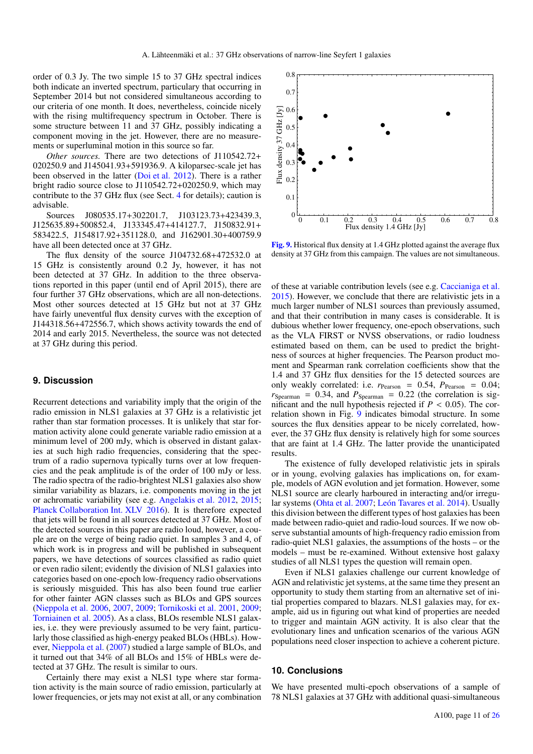order of 0.3 Jy. The two simple 15 to 37 GHz spectral indices both indicate an inverted spectrum, particulary that occurring in September 2014 but not considered simultaneous according to our criteria of one month. It does, nevertheless, coincide nicely with the rising multifrequency spectrum in October. There is some structure between 11 and 37 GHz, possibly indicating a component moving in the jet. However, there are no measurements or superluminal motion in this source so far.

*Other sources.* There are two detections of J110542.72+ 020250.9 and J145041.93+591936.9. A kiloparsec-scale jet has been observed in the latter [\(Doi et al.](#page-11-14) [2012\)](#page-11-14). There is a rather bright radio source close to J110542.72+020250.9, which may contribute to the 37 GHz flux (see Sect. [4](#page-5-0) for details); caution is advisable.

Sources J080535.17+302201.7, J103123.73+423439.3, J125635.89+500852.4, J133345.47+414127.7, J150832.91+ 583422.5, J154817.92+351128.0, and J162901.30+400759.9 have all been detected once at 37 GHz.

The flux density of the source J104732.68+472532.0 at 15 GHz is consistently around 0.2 Jy, however, it has not been detected at 37 GHz. In addition to the three observations reported in this paper (until end of April 2015), there are four further 37 GHz observations, which are all non-detections. Most other sources detected at 15 GHz but not at 37 GHz have fairly uneventful flux density curves with the exception of J144318.56+472556.7, which shows activity towards the end of 2014 and early 2015. Nevertheless, the source was not detected at 37 GHz during this period.

#### **9. Discussion**

Recurrent detections and variability imply that the origin of the radio emission in NLS1 galaxies at 37 GHz is a relativistic jet rather than star formation processes. It is unlikely that star formation activity alone could generate variable radio emission at a minimum level of 200 mJy, which is observed in distant galaxies at such high radio frequencies, considering that the spectrum of a radio supernova typically turns over at low frequencies and the peak amplitude is of the order of 100 mJy or less. The radio spectra of the radio-brightest NLS1 galaxies also show similar variability as blazars, i.e. components moving in the jet or achromatic variability (see e.g. [Angelakis et al.](#page-11-55) [2012,](#page-11-55) [2015;](#page-11-27) [Planck Collaboration Int. XLV](#page-11-56) [2016\)](#page-11-56). It is therefore expected that jets will be found in all sources detected at 37 GHz. Most of the detected sources in this paper are radio loud, however, a couple are on the verge of being radio quiet. In samples 3 and 4, of which work is in progress and will be published in subsequent papers, we have detections of sources classified as radio quiet or even radio silent; evidently the division of NLS1 galaxies into categories based on one-epoch low-frequency radio observations is seriously misguided. This has also been found true earlier for other fainter AGN classes such as BLOs and GPS sources [\(Nieppola et al.](#page-11-57) [2006,](#page-11-57) [2007,](#page-11-44) [2009;](#page-11-58) [Tornikoski et al.](#page-11-59) [2001,](#page-11-59) [2009;](#page-11-60) [Torniainen et al.](#page-11-61) [2005\)](#page-11-61). As a class, BLOs resemble NLS1 galaxies, i.e. they were previously assumed to be very faint, particularly those classified as high-energy peaked BLOs (HBLs). However, [Nieppola et al.](#page-11-44) [\(2007\)](#page-11-44) studied a large sample of BLOs, and it turned out that 34% of all BLOs and 15% of HBLs were detected at 37 GHz. The result is similar to ours.

Certainly there may exist a NLS1 type where star formation activity is the main source of radio emission, particularly at lower frequencies, or jets may not exist at all, or any combination



<span id="page-10-0"></span>[Fig. 9.](http://dexter.edpsciences.org/applet.php?DOI=10.1051/0004-6361/201630257&pdf_id=9) Historical flux density at 1.4 GHz plotted against the average flux density at 37 GHz from this campaign. The values are not simultaneous.

of these at variable contribution levels (see e.g. [Caccianiga et al.](#page-11-26) [2015\)](#page-11-26). However, we conclude that there are relativistic jets in a much larger number of NLS1 sources than previously assumed, and that their contribution in many cases is considerable. It is dubious whether lower frequency, one-epoch observations, such as the VLA FIRST or NVSS observations, or radio loudness estimated based on them, can be used to predict the brightness of sources at higher frequencies. The Pearson product moment and Spearman rank correlation coefficients show that the 1.4 and 37 GHz flux densities for the 15 detected sources are only weakly correlated: i.e.  $r_{Pearson} = 0.54$ ,  $P_{Pearson} = 0.04$ ;  $r_{Spearman} = 0.34$ , and  $P_{Spearman} = 0.22$  (the correlation is significant and the null hypothesis rejected if  $P < 0.05$ ). The correlation shown in Fig. [9](#page-10-0) indicates bimodal structure. In some sources the flux densities appear to be nicely correlated, however, the 37 GHz flux density is relatively high for some sources that are faint at 1.4 GHz. The latter provide the unanticipated results.

The existence of fully developed relativistic jets in spirals or in young, evolving galaxies has implications on, for example, models of AGN evolution and jet formation. However, some NLS1 source are clearly harboured in interacting and/or irregular systems [\(Ohta et al.](#page-11-6) [2007;](#page-11-6) [León Tavares et al.](#page-11-7) [2014\)](#page-11-7). Usually this division between the different types of host galaxies has been made between radio-quiet and radio-loud sources. If we now observe substantial amounts of high-frequency radio emission from radio-quiet NLS1 galaxies, the assumptions of the hosts – or the models – must be re-examined. Without extensive host galaxy studies of all NLS1 types the question will remain open.

Even if NLS1 galaxies challenge our current knowledge of AGN and relativistic jet systems, at the same time they present an opportunity to study them starting from an alternative set of initial properties compared to blazars. NLS1 galaxies may, for example, aid us in figuring out what kind of properties are needed to trigger and maintain AGN activity. It is also clear that the evolutionary lines and unfication scenarios of the various AGN populations need closer inspection to achieve a coherent picture.

## **10. Conclusions**

We have presented multi-epoch observations of a sample of 78 NLS1 galaxies at 37 GHz with additional quasi-simultaneous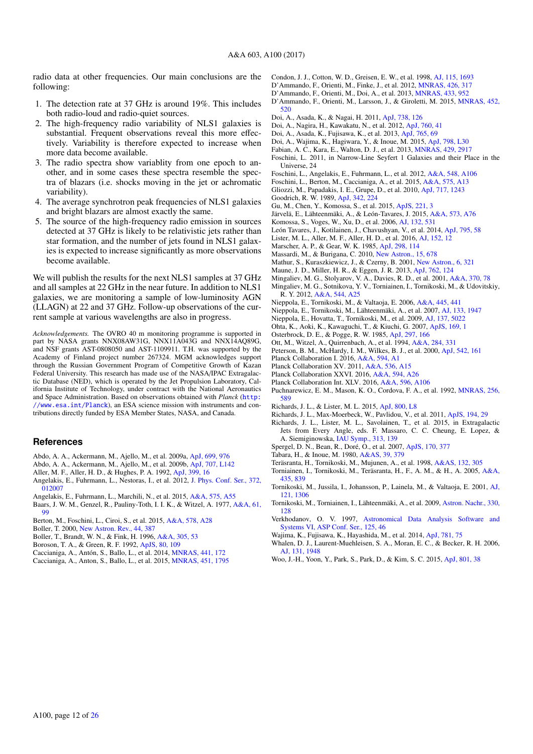radio data at other frequencies. Our main conclusions are the following:

- 1. The detection rate at 37 GHz is around 19%. This includes both radio-loud and radio-quiet sources.
- 2. The high-frequency radio variability of NLS1 galaxies is substantial. Frequent observations reveal this more effectively. Variability is therefore expected to increase when more data become available.
- 3. The radio spectra show variablity from one epoch to another, and in some cases these spectra resemble the spectra of blazars (i.e. shocks moving in the jet or achromatic variability).
- 4. The average synchrotron peak frequencies of NLS1 galaxies and bright blazars are almost exactly the same.
- 5. The source of the high-frequency radio emission in sources detected at 37 GHz is likely to be relativistic jets rather than star formation, and the number of jets found in NLS1 galaxies is expected to increase significantly as more observations become available.

We will publish the results for the next NLS1 samples at 37 GHz and all samples at 22 GHz in the near future. In addition to NLS1 galaxies, we are monitoring a sample of low-luminosity AGN (LLAGN) at 22 and 37 GHz. Follow-up observations of the current sample at various wavelengths are also in progress.

*Acknowledgements.* The OVRO 40 m monitoring programme is supported in part by NASA grants NNX08AW31G, NNX11A043G and NNX14AQ89G, and NSF grants AST-0808050 and AST-1109911. T.H. was supported by the Academy of Finland project number 267324. MGM acknowledges support through the Russian Government Program of Competitive Growth of Kazan Federal University. This research has made use of the NASA/IPAC Extragalactic Database (NED), which is operated by the Jet Propulsion Laboratory, California Institute of Technology, under contract with the National Aeronautics and Space Administration. Based on observations obtained with *Planck* ([http:](http://www.esa.int/Planck) [//www.esa.int/Planck](http://www.esa.int/Planck)), an ESA science mission with instruments and contributions directly funded by ESA Member States, NASA, and Canada.

#### **References**

- <span id="page-11-23"></span>Abdo, A. A., Ackermann, M., Ajello, M., et al. 2009a, [ApJ, 699, 976](http://linker.aanda.org/10.1051/0004-6361/201630257/1)
- <span id="page-11-46"></span>Abdo, A. A., Ackermann, M., Ajello, M., et al. 2009b, [ApJ, 707, L142](http://linker.aanda.org/10.1051/0004-6361/201630257/2)
- <span id="page-11-43"></span>Aller, M. F., Aller, H. D., & Hughes, P. A. 1992, [ApJ, 399, 16](http://linker.aanda.org/10.1051/0004-6361/201630257/3)
- <span id="page-11-55"></span>Angelakis, E., Fuhrmann, L., Nestoras, I., et al. 2012, [J. Phys. Conf. Ser., 372,](http://linker.aanda.org/10.1051/0004-6361/201630257/4) [012007](http://linker.aanda.org/10.1051/0004-6361/201630257/4)
- <span id="page-11-27"></span>Angelakis, E., Fuhrmann, L., Marchili, N., et al. 2015, [A&A, 575, A55](http://linker.aanda.org/10.1051/0004-6361/201630257/5)
- <span id="page-11-36"></span>Baars, J. W. M., Genzel, R., Pauliny-Toth, I. I. K., & Witzel, A. 1977, [A&A, 61,](http://linker.aanda.org/10.1051/0004-6361/201630257/6) [99](http://linker.aanda.org/10.1051/0004-6361/201630257/6)
- <span id="page-11-25"></span>Berton, M., Foschini, L., Ciroi, S., et al. 2015, [A&A, 578, A28](http://linker.aanda.org/10.1051/0004-6361/201630257/7)
- <span id="page-11-2"></span>Boller, T. 2000, [New Astron. Rev., 44, 387](http://linker.aanda.org/10.1051/0004-6361/201630257/8)
- <span id="page-11-4"></span>Boller, T., Brandt, W. N., & Fink, H. 1996, [A&A, 305, 53](http://linker.aanda.org/10.1051/0004-6361/201630257/9)
- <span id="page-11-9"></span>Boroson, T. A., & Green, R. F. 1992, [ApJS, 80, 109](http://linker.aanda.org/10.1051/0004-6361/201630257/10)
- <span id="page-11-24"></span>Caccianiga, A., Antón, S., Ballo, L., et al. 2014, [MNRAS, 441, 172](http://linker.aanda.org/10.1051/0004-6361/201630257/11)
- <span id="page-11-26"></span>Caccianiga, A., Anton, S., Ballo, L., et al. 2015, [MNRAS, 451, 1795](http://linker.aanda.org/10.1051/0004-6361/201630257/12)
- <span id="page-11-30"></span>Condon, J. J., Cotton, W. D., Greisen, E. W., et al. 1998, [AJ, 115, 1693](http://linker.aanda.org/10.1051/0004-6361/201630257/13)
- <span id="page-11-49"></span>D'Ammando, F., Orienti, M., Finke, J., et al. 2012, [MNRAS, 426, 317](http://linker.aanda.org/10.1051/0004-6361/201630257/14)
- <span id="page-11-54"></span><span id="page-11-52"></span>D'Ammando, F., Orienti, M., Doi, A., et al. 2013, [MNRAS, 433, 952](http://linker.aanda.org/10.1051/0004-6361/201630257/15) D'Ammando, F., Orienti, M., Larsson, J., & Giroletti, M. 2015, [MNRAS, 452,](http://linker.aanda.org/10.1051/0004-6361/201630257/16) [520](http://linker.aanda.org/10.1051/0004-6361/201630257/16)
- <span id="page-11-53"></span>Doi, A., Asada, K., & Nagai, H. 2011, [ApJ, 738, 126](http://linker.aanda.org/10.1051/0004-6361/201630257/17)
- <span id="page-11-14"></span>Doi, A., Nagira, H., Kawakatu, N., et al. 2012, [ApJ, 760, 41](http://linker.aanda.org/10.1051/0004-6361/201630257/18)
- <span id="page-11-17"></span>Doi, A., Asada, K., Fujisawa, K., et al. 2013, [ApJ, 765, 69](http://linker.aanda.org/10.1051/0004-6361/201630257/19)
- <span id="page-11-18"></span>Doi, A., Wajima, K., Hagiwara, Y., & Inoue, M. 2015, [ApJ, 798, L30](http://linker.aanda.org/10.1051/0004-6361/201630257/20)
- <span id="page-11-3"></span>Fabian, A. C., Kara, E., Walton, D. J., et al. 2013, [MNRAS, 429, 2917](http://linker.aanda.org/10.1051/0004-6361/201630257/21)
- <span id="page-11-28"></span>Foschini, L. 2011, in Narrow-Line Seyfert 1 Galaxies and their Place in the Universe, 24
- <span id="page-11-50"></span>Foschini, L., Angelakis, E., Fuhrmann, L., et al. 2012, [A&A, 548, A106](http://linker.aanda.org/10.1051/0004-6361/201630257/23)
- <span id="page-11-22"></span>Foschini, L., Berton, M., Caccianiga, A., et al. 2015, [A&A, 575, A13](http://linker.aanda.org/10.1051/0004-6361/201630257/24)
- <span id="page-11-13"></span>Gliozzi, M., Papadakis, I. E., Grupe, D., et al. 2010, [ApJ, 717, 1243](http://linker.aanda.org/10.1051/0004-6361/201630257/25)
- <span id="page-11-1"></span>Goodrich, R. W. 1989, [ApJ, 342, 224](http://linker.aanda.org/10.1051/0004-6361/201630257/26)
- <span id="page-11-16"></span>Gu, M., Chen, Y., Komossa, S., et al. 2015, [ApJS, 221, 3](http://linker.aanda.org/10.1051/0004-6361/201630257/27)
- <span id="page-11-21"></span>Järvelä, E., Lähteenmäki, A., & León-Tavares, J. 2015, [A&A, 573, A76](http://linker.aanda.org/10.1051/0004-6361/201630257/28)
- <span id="page-11-12"></span>Komossa, S., Voges, W., Xu, D., et al. 2006, [AJ, 132, 531](http://linker.aanda.org/10.1051/0004-6361/201630257/29)
- <span id="page-11-7"></span>León Tavares, J., Kotilainen, J., Chavushyan, V., et al. 2014, [ApJ, 795, 58](http://linker.aanda.org/10.1051/0004-6361/201630257/30)
- <span id="page-11-20"></span>Lister, M. L., Aller, M. F., Aller, H. D., et al. 2016, [AJ, 152, 12](http://linker.aanda.org/10.1051/0004-6361/201630257/31)
- <span id="page-11-48"></span>Marscher, A. P., & Gear, W. K. 1985, [ApJ, 298, 114](http://linker.aanda.org/10.1051/0004-6361/201630257/32)
- <span id="page-11-40"></span>Massardi, M., & Burigana, C. 2010, [New Astron., 15, 678](http://linker.aanda.org/10.1051/0004-6361/201630257/33)
- <span id="page-11-10"></span>Mathur, S., Kuraszkiewicz, J., & Czerny, B. 2001, [New Astron., 6, 321](http://linker.aanda.org/10.1051/0004-6361/201630257/34)
- <span id="page-11-51"></span>Maune, J. D., Miller, H. R., & Eggen, J. R. 2013, [ApJ, 762, 124](http://linker.aanda.org/10.1051/0004-6361/201630257/35)
- <span id="page-11-34"></span>Mingaliev, M. G., Stolyarov, V. A., Davies, R. D., et al. 2001, [A&A, 370, 78](http://linker.aanda.org/10.1051/0004-6361/201630257/36)
- <span id="page-11-35"></span>Mingaliev, M. G., Sotnikova, Y. V., Torniainen, I., Tornikoski, M., & Udovitskiy, R. Y. 2012, [A&A, 544, A25](http://linker.aanda.org/10.1051/0004-6361/201630257/37)
- <span id="page-11-57"></span>Nieppola, E., Tornikoski, M., & Valtaoja, E. 2006, [A&A, 445, 441](http://linker.aanda.org/10.1051/0004-6361/201630257/38)
- <span id="page-11-44"></span>Nieppola, E., Tornikoski, M., Lähteenmäki, A., et al. 2007, [AJ, 133, 1947](http://linker.aanda.org/10.1051/0004-6361/201630257/39)
- <span id="page-11-58"></span>Nieppola, E., Hovatta, T., Tornikoski, M., et al. 2009, [AJ, 137, 5022](http://linker.aanda.org/10.1051/0004-6361/201630257/40)
- <span id="page-11-6"></span>Ohta, K., Aoki, K., Kawaguchi, T., & Kiuchi, G. 2007, [ApJS, 169, 1](http://linker.aanda.org/10.1051/0004-6361/201630257/41)
- <span id="page-11-0"></span>Osterbrock, D. E., & Pogge, R. W. 1985, [ApJ, 297, 166](http://linker.aanda.org/10.1051/0004-6361/201630257/42)
- <span id="page-11-37"></span>Ott, M., Witzel, A., Quirrenbach, A., et al. 1994, [A&A, 284, 331](http://linker.aanda.org/10.1051/0004-6361/201630257/43)
- <span id="page-11-8"></span>Peterson, B. M., McHardy, I. M., Wilkes, B. J., et al. 2000, [ApJ, 542, 161](http://linker.aanda.org/10.1051/0004-6361/201630257/44)
- <span id="page-11-41"></span>Planck Collaboration I. 2016, [A&A, 594, A1](http://linker.aanda.org/10.1051/0004-6361/201630257/45)
- <span id="page-11-45"></span>Planck Collaboration XV. 2011, [A&A, 536, A15](http://linker.aanda.org/10.1051/0004-6361/201630257/46)
- <span id="page-11-42"></span>Planck Collaboration XXVI. 2016, [A&A, 594, A26](http://linker.aanda.org/10.1051/0004-6361/201630257/47)
- <span id="page-11-56"></span>Planck Collaboration Int. XLV. 2016, [A&A, 596, A106](http://linker.aanda.org/10.1051/0004-6361/201630257/48)
- <span id="page-11-5"></span>Puchnarewicz, E. M., Mason, K. O., Cordova, F. A., et al. 1992, [MNRAS, 256,](http://linker.aanda.org/10.1051/0004-6361/201630257/49) [589](http://linker.aanda.org/10.1051/0004-6361/201630257/49)
- <span id="page-11-15"></span>Richards, J. L., & Lister, M. L. 2015, [ApJ, 800, L8](http://linker.aanda.org/10.1051/0004-6361/201630257/50)
- <span id="page-11-39"></span>Richards, J. L., Max-Moerbeck, W., Pavlidou, V., et al. 2011, [ApJS, 194, 29](http://linker.aanda.org/10.1051/0004-6361/201630257/51)
- <span id="page-11-19"></span>Richards, J. L., Lister, M. L., Savolainen, T., et al. 2015, in Extragalactic Jets from Every Angle, eds. F. Massaro, C. C. Cheung, E. Lopez, & A. Siemiginowska, [IAU Symp., 313, 139](http://linker.aanda.org/10.1051/0004-6361/201630257/52)
- <span id="page-11-29"></span>Spergel, D. N., Bean, R., Doré, O., et al. 2007, [ApJS, 170, 377](http://linker.aanda.org/10.1051/0004-6361/201630257/53)
- <span id="page-11-38"></span>Tabara, H., & Inoue, M. 1980, [A&AS, 39, 379](http://linker.aanda.org/10.1051/0004-6361/201630257/54)
- <span id="page-11-32"></span>Teräsranta, H., Tornikoski, M., Mujunen, A., et al. 1998, [A&AS, 132, 305](http://linker.aanda.org/10.1051/0004-6361/201630257/55)
- <span id="page-11-61"></span>Torniainen, I., Tornikoski, M., Teräsranta, H., F., A. M., & H., A. 2005, [A&A,](http://linker.aanda.org/10.1051/0004-6361/201630257/56) [435, 839](http://linker.aanda.org/10.1051/0004-6361/201630257/56)
- <span id="page-11-59"></span>Tornikoski, M., Jussila, I., Johansson, P., Lainela, M., & Valtaoja, E. 2001, [AJ,](http://linker.aanda.org/10.1051/0004-6361/201630257/57) [121, 1306](http://linker.aanda.org/10.1051/0004-6361/201630257/57)
- <span id="page-11-60"></span>Tornikoski, M., Torniainen, I., Lähteenmäki, A., et al. 2009, [Astron. Nachr., 330,](http://linker.aanda.org/10.1051/0004-6361/201630257/58) [128](http://linker.aanda.org/10.1051/0004-6361/201630257/58)
- <span id="page-11-33"></span>Verkhodanov, O. V. 1997, [Astronomical Data Analysis Software and](http://linker.aanda.org/10.1051/0004-6361/201630257/59) [Systems VI, ASP Conf. Ser., 125, 46](http://linker.aanda.org/10.1051/0004-6361/201630257/59)
- <span id="page-11-47"></span>Wajima, K., Fujisawa, K., Hayashida, M., et al. 2014, [ApJ, 781, 75](http://linker.aanda.org/10.1051/0004-6361/201630257/60)
- <span id="page-11-31"></span>Whalen, D. J., Laurent-Muehleisen, S. A., Moran, E. C., & Becker, R. H. 2006, [AJ, 131, 1948](http://linker.aanda.org/10.1051/0004-6361/201630257/61)
- <span id="page-11-11"></span>Woo, J.-H., Yoon, Y., Park, S., Park, D., & Kim, S. C. 2015, [ApJ, 801, 38](http://linker.aanda.org/10.1051/0004-6361/201630257/62)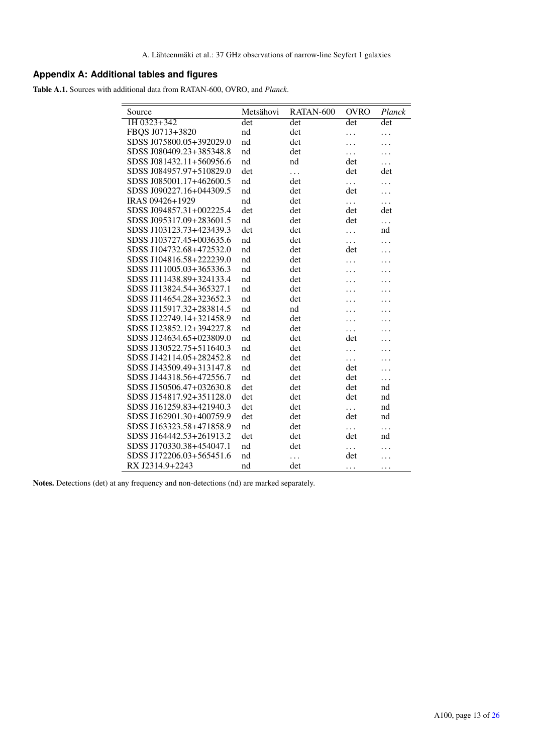# **Appendix A: Additional tables and figures**

<span id="page-12-0"></span>Table A.1. Sources with additional data from RATAN-600, OVRO, and *Planck*.

| RATAN-600<br>Metsähovi<br>Planck<br>Source<br>1H 0323+342<br>det<br>det<br>det<br>det<br>FBQS J0713+3820<br>nd<br>det<br>.<br>SDSS J075800.05+392029.0<br>nd<br>det<br>SDSS J080409.23+385348.8<br>nd<br>det<br>.<br>SDSS J081432.11+560956.6<br>nd<br>nd<br>det<br>SDSS J084957.97+510829.0<br>det<br>det<br>det<br>.<br>SDSS J085001.17+462600.5<br>nd<br>det<br>.<br>SDSS J090227.16+044309.5<br>nd<br>det<br>det<br>IRAS 09426+1929<br>det<br>nd<br>.<br>.<br>SDSS J094857.31+002225.4<br>det<br>det<br>det<br>det<br>SDSS J095317.09+283601.5<br>nd<br>det<br>det<br>.<br>SDSS J103123.73+423439.3<br>det<br>det<br>nd<br>. |  |
|----------------------------------------------------------------------------------------------------------------------------------------------------------------------------------------------------------------------------------------------------------------------------------------------------------------------------------------------------------------------------------------------------------------------------------------------------------------------------------------------------------------------------------------------------------------------------------------------------------------------------------|--|
|                                                                                                                                                                                                                                                                                                                                                                                                                                                                                                                                                                                                                                  |  |
|                                                                                                                                                                                                                                                                                                                                                                                                                                                                                                                                                                                                                                  |  |
|                                                                                                                                                                                                                                                                                                                                                                                                                                                                                                                                                                                                                                  |  |
|                                                                                                                                                                                                                                                                                                                                                                                                                                                                                                                                                                                                                                  |  |
|                                                                                                                                                                                                                                                                                                                                                                                                                                                                                                                                                                                                                                  |  |
|                                                                                                                                                                                                                                                                                                                                                                                                                                                                                                                                                                                                                                  |  |
|                                                                                                                                                                                                                                                                                                                                                                                                                                                                                                                                                                                                                                  |  |
|                                                                                                                                                                                                                                                                                                                                                                                                                                                                                                                                                                                                                                  |  |
|                                                                                                                                                                                                                                                                                                                                                                                                                                                                                                                                                                                                                                  |  |
|                                                                                                                                                                                                                                                                                                                                                                                                                                                                                                                                                                                                                                  |  |
|                                                                                                                                                                                                                                                                                                                                                                                                                                                                                                                                                                                                                                  |  |
|                                                                                                                                                                                                                                                                                                                                                                                                                                                                                                                                                                                                                                  |  |
| SDSS J103727.45+003635.6<br>nd<br>det<br>.                                                                                                                                                                                                                                                                                                                                                                                                                                                                                                                                                                                       |  |
| SDSS J104732.68+472532.0<br>det<br>nd<br>det                                                                                                                                                                                                                                                                                                                                                                                                                                                                                                                                                                                     |  |
| SDSS J104816.58+222239.0<br>det<br>nd                                                                                                                                                                                                                                                                                                                                                                                                                                                                                                                                                                                            |  |
| SDSS J111005.03+365336.3<br>nd<br>det                                                                                                                                                                                                                                                                                                                                                                                                                                                                                                                                                                                            |  |
| SDSS J111438.89+324133.4<br>nd<br>det                                                                                                                                                                                                                                                                                                                                                                                                                                                                                                                                                                                            |  |
| SDSS J113824.54+365327.1<br>nd<br>det                                                                                                                                                                                                                                                                                                                                                                                                                                                                                                                                                                                            |  |
| SDSS J114654.28+323652.3<br>det<br>nd                                                                                                                                                                                                                                                                                                                                                                                                                                                                                                                                                                                            |  |
| SDSS J115917.32+283814.5<br>nd<br>nd                                                                                                                                                                                                                                                                                                                                                                                                                                                                                                                                                                                             |  |
| SDSS J122749.14+321458.9<br>nd<br>det                                                                                                                                                                                                                                                                                                                                                                                                                                                                                                                                                                                            |  |
| SDSS J123852.12+394227.8<br>nd<br>det<br>.                                                                                                                                                                                                                                                                                                                                                                                                                                                                                                                                                                                       |  |
| SDSS J124634.65+023809.0<br>nd<br>det<br>det                                                                                                                                                                                                                                                                                                                                                                                                                                                                                                                                                                                     |  |
| SDSS J130522.75+511640.3<br>det<br>nd<br>.                                                                                                                                                                                                                                                                                                                                                                                                                                                                                                                                                                                       |  |
| SDSS J142114.05+282452.8<br>nd<br>det<br>$\ddotsc$                                                                                                                                                                                                                                                                                                                                                                                                                                                                                                                                                                               |  |
| SDSS J143509.49+313147.8<br>nd<br>det<br>det                                                                                                                                                                                                                                                                                                                                                                                                                                                                                                                                                                                     |  |
| SDSS J144318.56+472556.7<br>nd<br>det<br>det                                                                                                                                                                                                                                                                                                                                                                                                                                                                                                                                                                                     |  |
| SDSS J150506.47+032630.8<br>det<br>det<br>det<br>nd                                                                                                                                                                                                                                                                                                                                                                                                                                                                                                                                                                              |  |
| SDSS J154817.92+351128.0<br>det<br>det<br>det<br>nd                                                                                                                                                                                                                                                                                                                                                                                                                                                                                                                                                                              |  |
| SDSS J161259.83+421940.3<br>det<br>det<br>nd<br>$\cdots$                                                                                                                                                                                                                                                                                                                                                                                                                                                                                                                                                                         |  |
| SDSS J162901.30+400759.9<br>det<br>det<br>det<br>nd                                                                                                                                                                                                                                                                                                                                                                                                                                                                                                                                                                              |  |
| SDSS J163323.58+471858.9<br>$^{\rm nd}$<br>det<br>$\cdots$<br>.                                                                                                                                                                                                                                                                                                                                                                                                                                                                                                                                                                  |  |
| SDSS J164442.53+261913.2<br>det<br>det<br>det<br>nd                                                                                                                                                                                                                                                                                                                                                                                                                                                                                                                                                                              |  |
| SDSS J170330.38+454047.1<br>nd<br>det<br>.                                                                                                                                                                                                                                                                                                                                                                                                                                                                                                                                                                                       |  |
| SDSS J172206.03+565451.6<br>nd<br>det<br>.                                                                                                                                                                                                                                                                                                                                                                                                                                                                                                                                                                                       |  |
| RX J2314.9+2243<br>nd<br>det<br>.<br>.                                                                                                                                                                                                                                                                                                                                                                                                                                                                                                                                                                                           |  |

Notes. Detections (det) at any frequency and non-detections (nd) are marked separately.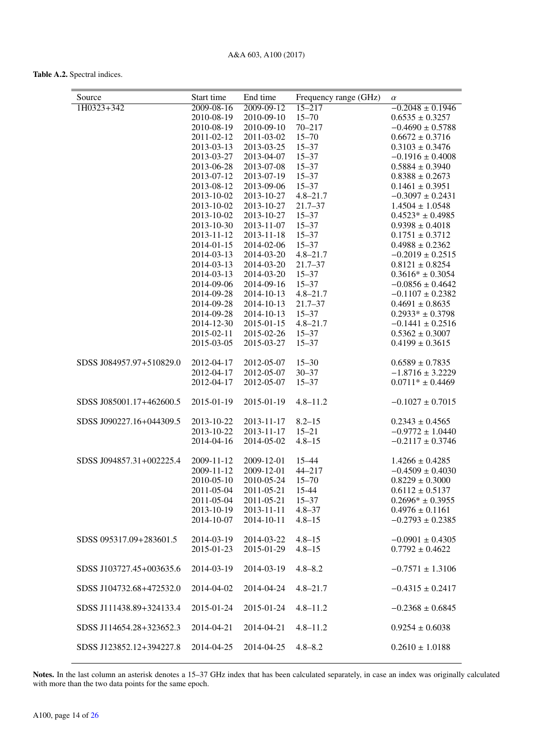## Table A.2. Spectral indices.

<span id="page-13-0"></span>

| Source                   | Start time               | End time                 | Frequency range (GHz)  | $\alpha$                                   |
|--------------------------|--------------------------|--------------------------|------------------------|--------------------------------------------|
| 1H0323+342               | 2009-08-16               | $2009 - 09 - 12$         | $15 - 217$             | $-0.2048 \pm 0.1946$                       |
|                          | 2010-08-19               | 2010-09-10               | $15 - 70$              | $0.6535 \pm 0.3257$                        |
|                          | 2010-08-19               | 2010-09-10               | $70 - 217$             | $-0.4690 \pm 0.5788$                       |
|                          | 2011-02-12               | 2011-03-02               | $15 - 70$              | $0.6672 \pm 0.3716$                        |
|                          | 2013-03-13               | 2013-03-25               | $15 - 37$              | $0.3103 \pm 0.3476$                        |
|                          | 2013-03-27               | 2013-04-07               | $15 - 37$              | $-0.1916 \pm 0.4008$                       |
|                          | 2013-06-28<br>2013-07-12 | 2013-07-08<br>2013-07-19 | $15 - 37$<br>$15 - 37$ | $0.5884 \pm 0.3940$<br>$0.8388 \pm 0.2673$ |
|                          | 2013-08-12               | 2013-09-06               | $15 - 37$              | $0.1461 \pm 0.3951$                        |
|                          | 2013-10-02               | 2013-10-27               | $4.8 - 21.7$           | $-0.3097 \pm 0.2431$                       |
|                          | 2013-10-02               | 2013-10-27               | $21.7 - 37$            | $1.4504 \pm 1.0548$                        |
|                          | 2013-10-02               | 2013-10-27               | $15 - 37$              | $0.4523* \pm 0.4985$                       |
|                          | 2013-10-30               | 2013-11-07               | $15 - 37$              | $0.9398 \pm 0.4018$                        |
|                          | 2013-11-12               | 2013-11-18               | $15 - 37$              | $0.1751 \pm 0.3712$                        |
|                          | 2014-01-15               | 2014-02-06               | $15 - 37$              | $0.4988 \pm 0.2362$                        |
|                          | 2014-03-13               | 2014-03-20               | $4.8 - 21.7$           | $-0.2019 \pm 0.2515$                       |
|                          | 2014-03-13               | 2014-03-20               | $21.7 - 37$            | $0.8121 \pm 0.8254$                        |
|                          | 2014-03-13               | 2014-03-20               | $15 - 37$              | $0.3616* \pm 0.3054$                       |
|                          | 2014-09-06               | 2014-09-16               | $15 - 37$              | $-0.0856 \pm 0.4642$                       |
|                          | 2014-09-28               | 2014-10-13               | $4.8 - 21.7$           | $-0.1107 \pm 0.2382$                       |
|                          | 2014-09-28               | 2014-10-13               | $21.7 - 37$            | $0.4691 \pm 0.8635$                        |
|                          | 2014-09-28               | 2014-10-13               | $15 - 37$              | $0.2933* \pm 0.3798$                       |
|                          | 2014-12-30               | 2015-01-15               | $4.8 - 21.7$           | $-0.1441 \pm 0.2516$                       |
|                          | 2015-02-11               | 2015-02-26               | $15 - 37$              | $0.5362 \pm 0.3007$                        |
|                          | 2015-03-05               | 2015-03-27               | $15 - 37$              | $0.4199 \pm 0.3615$                        |
| SDSS J084957.97+510829.0 | 2012-04-17               | 2012-05-07               | $15 - 30$              | $0.6589 \pm 0.7835$                        |
|                          | 2012-04-17               | 2012-05-07               | $30 - 37$              | $-1.8716 \pm 3.2229$                       |
|                          | 2012-04-17               | 2012-05-07               | $15 - 37$              | $0.0711* \pm 0.4469$                       |
| SDSS J085001.17+462600.5 | 2015-01-19               | 2015-01-19               | $4.8 - 11.2$           | $-0.1027 \pm 0.7015$                       |
| SDSS J090227.16+044309.5 | 2013-10-22               | 2013-11-17               | $8.2 - 15$             | $0.2343 \pm 0.4565$                        |
|                          | 2013-10-22               | 2013-11-17               | $15 - 21$              | $-0.9772 \pm 1.0440$                       |
|                          | 2014-04-16               | 2014-05-02               | $4.8 - 15$             | $-0.2117 \pm 0.3746$                       |
| SDSS J094857.31+002225.4 | 2009-11-12               | 2009-12-01               | $15 - 44$              | $1.4266 \pm 0.4285$                        |
|                          | 2009-11-12               | 2009-12-01               | $44 - 217$             | $-0.4509 \pm 0.4030$                       |
|                          | 2010-05-10               | 2010-05-24               | $15 - 70$              | $0.8229 \pm 0.3000$                        |
|                          | 2011-05-04               | 2011-05-21 15-44         |                        | $0.6112 \pm 0.5137$                        |
|                          | 2011-05-04               | 2011-05-21               | $15 - 37$              | $0.2696* \pm 0.3955$                       |
|                          | 2013-10-19               | 2013-11-11               | $4.8 - 37$             | $0.4976 \pm 0.1161$                        |
|                          | 2014-10-07               | 2014-10-11               | $4.8 - 15$             | $-0.2793 \pm 0.2385$                       |
| SDSS 095317.09+283601.5  | 2014-03-19               | 2014-03-22               | $4.8 - 15$             | $-0.0901 \pm 0.4305$                       |
|                          | 2015-01-23               | 2015-01-29               | $4.8 - 15$             | $0.7792 \pm 0.4622$                        |
| SDSS J103727.45+003635.6 | 2014-03-19               | 2014-03-19               | $4.8 - 8.2$            | $-0.7571 \pm 1.3106$                       |
| SDSS J104732.68+472532.0 | 2014-04-02               | 2014-04-24               | $4.8 - 21.7$           | $-0.4315 \pm 0.2417$                       |
| SDSS J111438.89+324133.4 | 2015-01-24               | 2015-01-24               | $4.8 - 11.2$           | $-0.2368 \pm 0.6845$                       |
| SDSS J114654.28+323652.3 | 2014-04-21               | 2014-04-21               | $4.8 - 11.2$           | $0.9254 \pm 0.6038$                        |
| SDSS J123852.12+394227.8 | 2014-04-25               | 2014-04-25               | $4.8 - 8.2$            | $0.2610 \pm 1.0188$                        |

Notes. In the last column an asterisk denotes a 15–37 GHz index that has been calculated separately, in case an index was originally calculated with more than the two data points for the same epoch.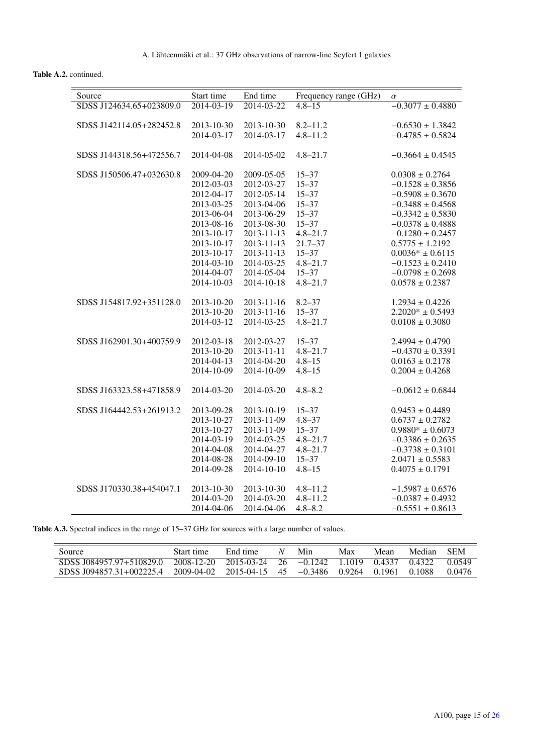Table A.2. continued.

| Source                   | Start time       | End time         | Frequency range (GHz) | $\alpha$             |
|--------------------------|------------------|------------------|-----------------------|----------------------|
| SDSS J124634.65+023809.0 | $2014 - 03 - 19$ | 2014-03-22       | $4.8 - 15$            | $-0.3077 \pm 0.4880$ |
|                          |                  |                  |                       |                      |
| SDSS J142114.05+282452.8 | 2013-10-30       | 2013-10-30       | $8.2 - 11.2$          | $-0.6530 \pm 1.3842$ |
|                          | 2014-03-17       | 2014-03-17       | $4.8 - 11.2$          | $-0.4785 \pm 0.5824$ |
|                          |                  |                  |                       |                      |
| SDSS J144318.56+472556.7 | 2014-04-08       | 2014-05-02       | $4.8 - 21.7$          | $-0.3664 \pm 0.4545$ |
| SDSS J150506.47+032630.8 | 2009-04-20       | 2009-05-05       | $15 - 37$             | $0.0308 \pm 0.2764$  |
|                          | 2012-03-03       | 2012-03-27       | $15 - 37$             | $-0.1528 \pm 0.3856$ |
|                          | 2012-04-17       | 2012-05-14       | $15 - 37$             | $-0.5908 \pm 0.3670$ |
|                          | 2013-03-25       | 2013-04-06       | $15 - 37$             | $-0.3488 \pm 0.4568$ |
|                          | 2013-06-04       | 2013-06-29       | $15 - 37$             | $-0.3342 \pm 0.5830$ |
|                          | 2013-08-16       | 2013-08-30       | $15 - 37$             | $-0.0378 \pm 0.4888$ |
|                          | 2013-10-17       | 2013-11-13       | $4.8 - 21.7$          | $-0.1280 \pm 0.2457$ |
|                          | 2013-10-17       | 2013-11-13       | $21.7 - 37$           | $0.5775 \pm 1.2192$  |
|                          | 2013-10-17       | 2013-11-13       | $15 - 37$             | $0.0036* \pm 0.6115$ |
|                          | 2014-03-10       | 2014-03-25       | $4.8 - 21.7$          | $-0.1523 \pm 0.2410$ |
|                          | 2014-04-07       | 2014-05-04       | $15 - 37$             | $-0.0798 \pm 0.2698$ |
|                          | 2014-10-03       | 2014-10-18       | $4.8 - 21.7$          | $0.0578 \pm 0.2387$  |
|                          |                  |                  |                       |                      |
| SDSS J154817.92+351128.0 | 2013-10-20       | 2013-11-16       | $8.2 - 37$            | $1.2934 \pm 0.4226$  |
|                          | 2013-10-20       | $2013 - 11 - 16$ | $15 - 37$             | $2.2020* \pm 0.5493$ |
|                          | 2014-03-12       | 2014-03-25       | $4.8 - 21.7$          | $0.0108 \pm 0.3080$  |
|                          |                  |                  |                       |                      |
| SDSS J162901.30+400759.9 | 2012-03-18       | 2012-03-27       | $15 - 37$             | $2.4994 \pm 0.4790$  |
|                          | 2013-10-20       | 2013-11-11       | $4.8 - 21.7$          | $-0.4370 \pm 0.3391$ |
|                          | 2014-04-13       | 2014-04-20       | $4.8 - 15$            | $0.0163 \pm 0.2178$  |
|                          | 2014-10-09       | 2014-10-09       | $4.8 - 15$            | $0.2004 \pm 0.4268$  |
|                          |                  |                  |                       |                      |
| SDSS J163323.58+471858.9 | 2014-03-20       | 2014-03-20       | $4.8 - 8.2$           | $-0.0612 \pm 0.6844$ |
| SDSS J164442.53+261913.2 | 2013-09-28       | 2013-10-19       | $15 - 37$             | $0.9453 \pm 0.4489$  |
|                          | 2013-10-27       | 2013-11-09       | $4.8 - 37$            | $0.6737 \pm 0.2782$  |
|                          | 2013-10-27       | 2013-11-09       | $15 - 37$             | $0.9880* \pm 0.6073$ |
|                          | 2014-03-19       | 2014-03-25       | $4.8 - 21.7$          | $-0.3386 \pm 0.2635$ |
|                          | 2014-04-08       | 2014-04-27       | $4.8 - 21.7$          | $-0.3738 \pm 0.3101$ |
|                          | 2014-08-28       | 2014-09-10       | $15 - 37$             | $2.0471 \pm 0.5583$  |
|                          | 2014-09-28       | 2014-10-10       | $4.8 - 15$            | $0.4075 \pm 0.1791$  |
|                          |                  |                  |                       |                      |
| SDSS J170330.38+454047.1 | 2013-10-30       | 2013-10-30       | $4.8 - 11.2$          | $-1.5987 \pm 0.6576$ |
|                          | 2014-03-20       | 2014-03-20       | $4.8 - 11.2$          | $-0.0387 \pm 0.4932$ |
|                          | 2014-04-06       | 2014-04-06       | $4.8 - 8.2$           | $-0.5551 \pm 0.8613$ |

Table A.3. Spectral indices in the range of 15-37 GHz for sources with a large number of values.

<span id="page-14-0"></span>

| Source                   | Start time | End time   | N    | Min       | Max       | Mean   | Median | <b>SEM</b> |
|--------------------------|------------|------------|------|-----------|-----------|--------|--------|------------|
| SDSS J084957.97+510829.0 | 2008-12-20 | 2015-03-24 | - 26 | $-0.1242$ | 1 1 0 1 9 | 0.4337 | 0.4322 | 0.0549     |
| SDSS I094857.31+002225.4 | 2009-04-02 | 2015-04-15 | 45   | $-0.3486$ | 0.9264    | 0.1961 | 0.1088 | 0.0476     |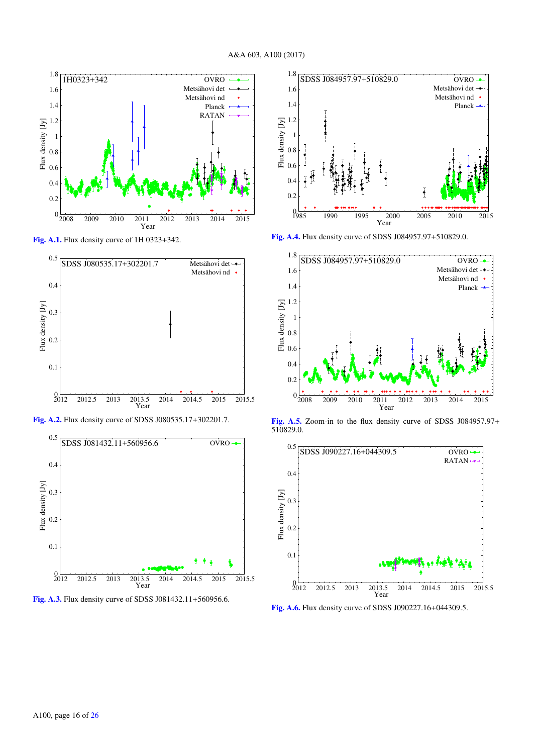

<span id="page-15-0"></span>[Fig. A.1.](http://dexter.edpsciences.org/applet.php?DOI=10.1051/0004-6361/201630257&pdf_id=10) Flux density curve of 1H 0323+342.



[Fig. A.2.](http://dexter.edpsciences.org/applet.php?DOI=10.1051/0004-6361/201630257&pdf_id=11) Flux density curve of SDSS J080535.17+302201.7.



[Fig. A.3.](http://dexter.edpsciences.org/applet.php?DOI=10.1051/0004-6361/201630257&pdf_id=12) Flux density curve of SDSS J081432.11+560956.6.



[Fig. A.4.](http://dexter.edpsciences.org/applet.php?DOI=10.1051/0004-6361/201630257&pdf_id=13) Flux density curve of SDSS J084957.97+510829.0.



[Fig. A.5.](http://dexter.edpsciences.org/applet.php?DOI=10.1051/0004-6361/201630257&pdf_id=14) Zoom-in to the flux density curve of SDSS J084957.97+ 510829.0.



[Fig. A.6.](http://dexter.edpsciences.org/applet.php?DOI=10.1051/0004-6361/201630257&pdf_id=15) Flux density curve of SDSS J090227.16+044309.5.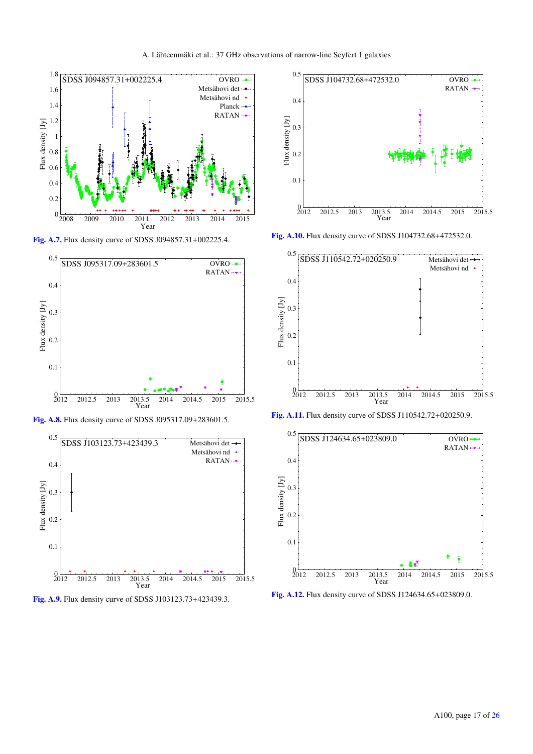

<span id="page-16-0"></span>[Fig. A.7.](http://dexter.edpsciences.org/applet.php?DOI=10.1051/0004-6361/201630257&pdf_id=16) Flux density curve of SDSS J094857.31+002225.4.



[Fig. A.8.](http://dexter.edpsciences.org/applet.php?DOI=10.1051/0004-6361/201630257&pdf_id=17) Flux density curve of SDSS J095317.09+283601.5.



<span id="page-16-1"></span>[Fig. A.9.](http://dexter.edpsciences.org/applet.php?DOI=10.1051/0004-6361/201630257&pdf_id=18) Flux density curve of SDSS J103123.73+423439.3.



[Fig. A.10.](http://dexter.edpsciences.org/applet.php?DOI=10.1051/0004-6361/201630257&pdf_id=19) Flux density curve of SDSS J104732.68+472532.0.



[Fig. A.11.](http://dexter.edpsciences.org/applet.php?DOI=10.1051/0004-6361/201630257&pdf_id=20) Flux density curve of SDSS J110542.72+020250.9.



[Fig. A.12.](http://dexter.edpsciences.org/applet.php?DOI=10.1051/0004-6361/201630257&pdf_id=21) Flux density curve of SDSS J124634.65+023809.0.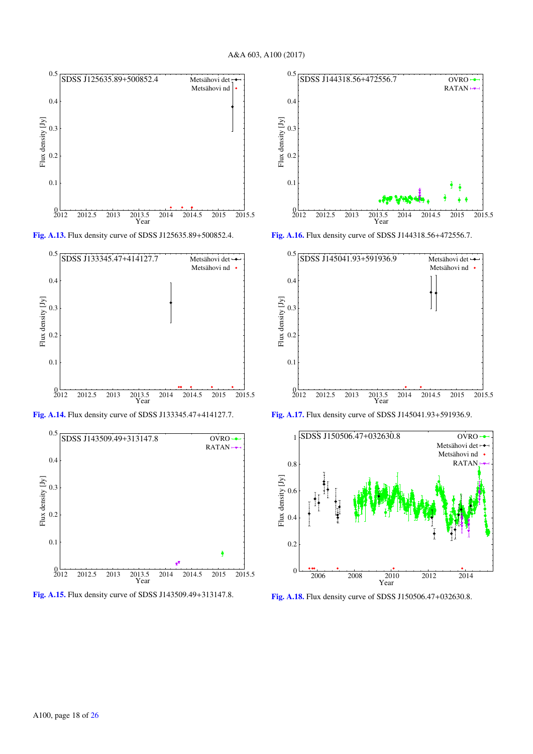

[Fig. A.13.](http://dexter.edpsciences.org/applet.php?DOI=10.1051/0004-6361/201630257&pdf_id=22) Flux density curve of SDSS J125635.89+500852.4.



[Fig. A.14.](http://dexter.edpsciences.org/applet.php?DOI=10.1051/0004-6361/201630257&pdf_id=23) Flux density curve of SDSS J133345.47+414127.7.



[Fig. A.15.](http://dexter.edpsciences.org/applet.php?DOI=10.1051/0004-6361/201630257&pdf_id=24) Flux density curve of SDSS J143509.49+313147.8.



[Fig. A.16.](http://dexter.edpsciences.org/applet.php?DOI=10.1051/0004-6361/201630257&pdf_id=25) Flux density curve of SDSS J144318.56+472556.7.



[Fig. A.17.](http://dexter.edpsciences.org/applet.php?DOI=10.1051/0004-6361/201630257&pdf_id=26) Flux density curve of SDSS J145041.93+591936.9.



[Fig. A.18.](http://dexter.edpsciences.org/applet.php?DOI=10.1051/0004-6361/201630257&pdf_id=27) Flux density curve of SDSS J150506.47+032630.8.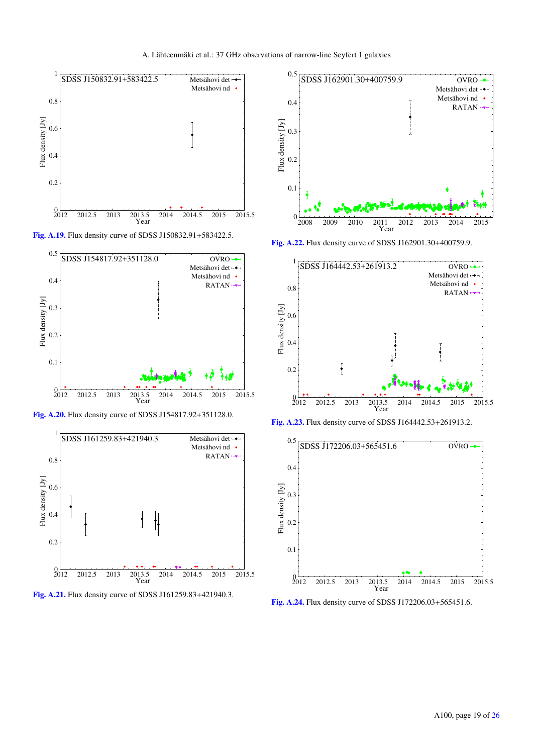

[Fig. A.19.](http://dexter.edpsciences.org/applet.php?DOI=10.1051/0004-6361/201630257&pdf_id=28) Flux density curve of SDSS J150832.91+583422.5.



<span id="page-18-1"></span>[Fig. A.20.](http://dexter.edpsciences.org/applet.php?DOI=10.1051/0004-6361/201630257&pdf_id=29) Flux density curve of SDSS J154817.92+351128.0.







[Fig. A.22.](http://dexter.edpsciences.org/applet.php?DOI=10.1051/0004-6361/201630257&pdf_id=31) Flux density curve of SDSS J162901.30+400759.9.



<span id="page-18-0"></span>[Fig. A.23.](http://dexter.edpsciences.org/applet.php?DOI=10.1051/0004-6361/201630257&pdf_id=32) Flux density curve of SDSS J164442.53+261913.2.



[Fig. A.24.](http://dexter.edpsciences.org/applet.php?DOI=10.1051/0004-6361/201630257&pdf_id=33) Flux density curve of SDSS J172206.03+565451.6.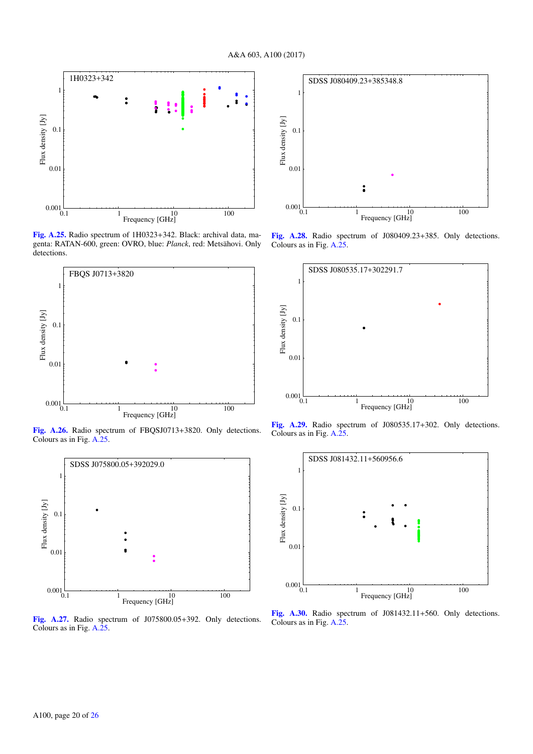

<span id="page-19-0"></span>[Fig. A.25.](http://dexter.edpsciences.org/applet.php?DOI=10.1051/0004-6361/201630257&pdf_id=34) Radio spectrum of 1H0323+342. Black: archival data, magenta: RATAN-600, green: OVRO, blue: *Planck*, red: Metsähovi. Only detections.



[Fig. A.26.](http://dexter.edpsciences.org/applet.php?DOI=10.1051/0004-6361/201630257&pdf_id=35) Radio spectrum of FBQSJ0713+3820. Only detections. Colours as in Fig. [A.25.](#page-19-0)



[Fig. A.27.](http://dexter.edpsciences.org/applet.php?DOI=10.1051/0004-6361/201630257&pdf_id=36) Radio spectrum of J075800.05+392. Only detections. Colours as in Fig. [A.25.](#page-19-0)



[Fig. A.28.](http://dexter.edpsciences.org/applet.php?DOI=10.1051/0004-6361/201630257&pdf_id=37) Radio spectrum of J080409.23+385. Only detections. Colours as in Fig. [A.25.](#page-19-0)



[Fig. A.29.](http://dexter.edpsciences.org/applet.php?DOI=10.1051/0004-6361/201630257&pdf_id=38) Radio spectrum of J080535.17+302. Only detections. Colours as in Fig. [A.25.](#page-19-0)



[Fig. A.30.](http://dexter.edpsciences.org/applet.php?DOI=10.1051/0004-6361/201630257&pdf_id=39) Radio spectrum of J081432.11+560. Only detections. Colours as in Fig. [A.25.](#page-19-0)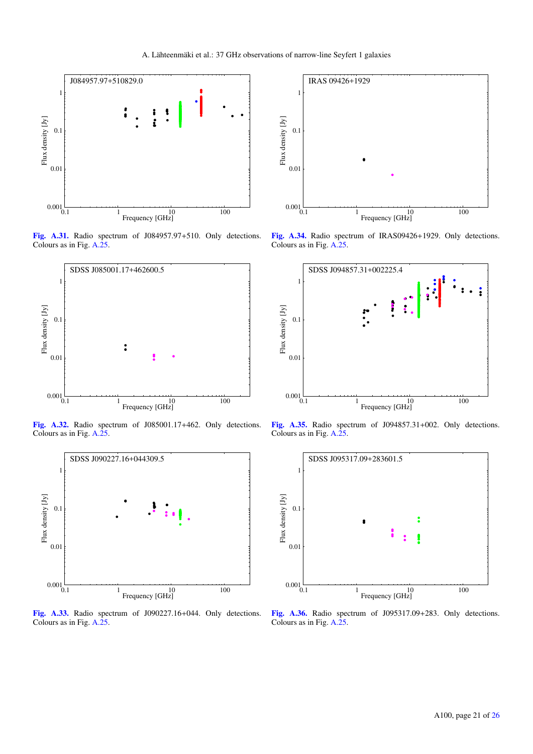

[Fig. A.31.](http://dexter.edpsciences.org/applet.php?DOI=10.1051/0004-6361/201630257&pdf_id=40) Radio spectrum of J084957.97+510. Only detections. Colours as in Fig. [A.25.](#page-19-0)



[Fig. A.32.](http://dexter.edpsciences.org/applet.php?DOI=10.1051/0004-6361/201630257&pdf_id=41) Radio spectrum of J085001.17+462. Only detections. Colours as in Fig. [A.25.](#page-19-0)



[Fig. A.33.](http://dexter.edpsciences.org/applet.php?DOI=10.1051/0004-6361/201630257&pdf_id=42) Radio spectrum of J090227.16+044. Only detections. Colours as in Fig. [A.25.](#page-19-0)



[Fig. A.34.](http://dexter.edpsciences.org/applet.php?DOI=10.1051/0004-6361/201630257&pdf_id=43) Radio spectrum of IRAS09426+1929. Only detections. Colours as in Fig. [A.25.](#page-19-0)



[Fig. A.35.](http://dexter.edpsciences.org/applet.php?DOI=10.1051/0004-6361/201630257&pdf_id=44) Radio spectrum of J094857.31+002. Only detections. Colours as in Fig. [A.25.](#page-19-0)



[Fig. A.36.](http://dexter.edpsciences.org/applet.php?DOI=10.1051/0004-6361/201630257&pdf_id=45) Radio spectrum of J095317.09+283. Only detections. Colours as in Fig. [A.25.](#page-19-0)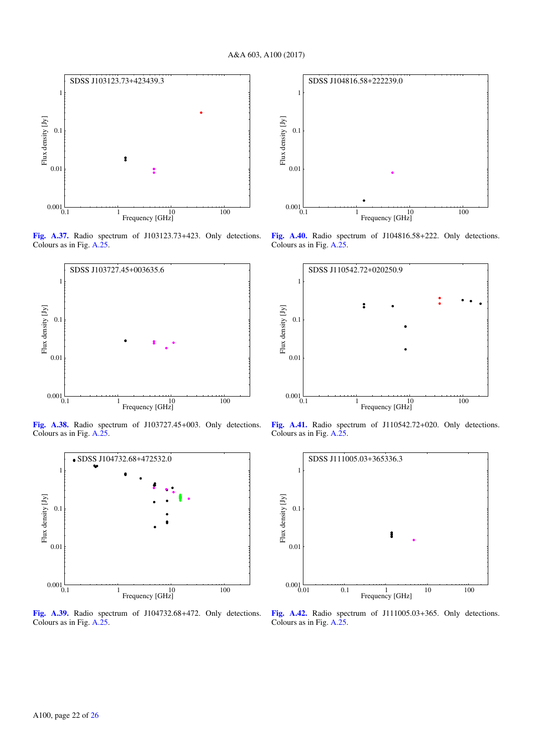

[Fig. A.37.](http://dexter.edpsciences.org/applet.php?DOI=10.1051/0004-6361/201630257&pdf_id=46) Radio spectrum of J103123.73+423. Only detections. Colours as in Fig. [A.25.](#page-19-0)



[Fig. A.38.](http://dexter.edpsciences.org/applet.php?DOI=10.1051/0004-6361/201630257&pdf_id=47) Radio spectrum of J103727.45+003. Only detections. Colours as in Fig. [A.25.](#page-19-0)



[Fig. A.39.](http://dexter.edpsciences.org/applet.php?DOI=10.1051/0004-6361/201630257&pdf_id=48) Radio spectrum of J104732.68+472. Only detections. Colours as in Fig. [A.25.](#page-19-0)



[Fig. A.40.](http://dexter.edpsciences.org/applet.php?DOI=10.1051/0004-6361/201630257&pdf_id=49) Radio spectrum of J104816.58+222. Only detections. Colours as in Fig. [A.25.](#page-19-0)



[Fig. A.41.](http://dexter.edpsciences.org/applet.php?DOI=10.1051/0004-6361/201630257&pdf_id=50) Radio spectrum of J110542.72+020. Only detections. Colours as in Fig. [A.25.](#page-19-0)



[Fig. A.42.](http://dexter.edpsciences.org/applet.php?DOI=10.1051/0004-6361/201630257&pdf_id=51) Radio spectrum of J111005.03+365. Only detections. Colours as in Fig. [A.25.](#page-19-0)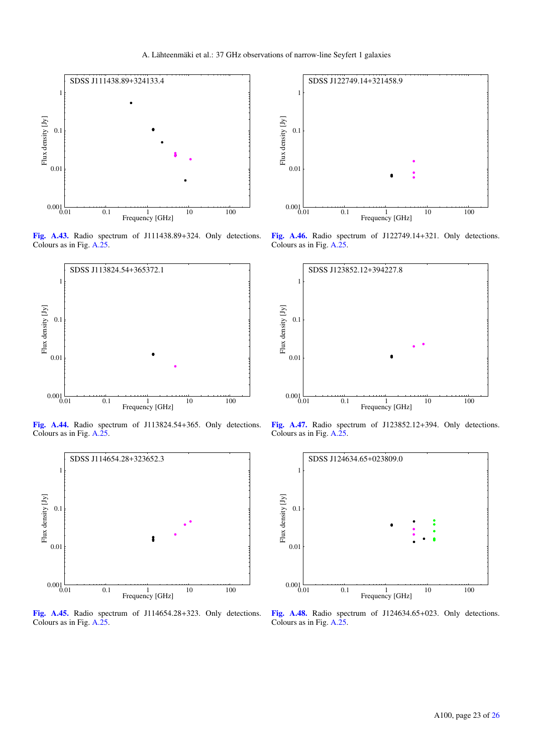

[Fig. A.43.](http://dexter.edpsciences.org/applet.php?DOI=10.1051/0004-6361/201630257&pdf_id=52) Radio spectrum of J111438.89+324. Only detections. Colours as in Fig. [A.25.](#page-19-0)



[Fig. A.44.](http://dexter.edpsciences.org/applet.php?DOI=10.1051/0004-6361/201630257&pdf_id=53) Radio spectrum of J113824.54+365. Only detections. Colours as in Fig. [A.25.](#page-19-0)



[Fig. A.45.](http://dexter.edpsciences.org/applet.php?DOI=10.1051/0004-6361/201630257&pdf_id=54) Radio spectrum of J114654.28+323. Only detections. Colours as in Fig. [A.25.](#page-19-0)



[Fig. A.46.](http://dexter.edpsciences.org/applet.php?DOI=10.1051/0004-6361/201630257&pdf_id=55) Radio spectrum of J122749.14+321. Only detections. Colours as in Fig. [A.25.](#page-19-0)



[Fig. A.47.](http://dexter.edpsciences.org/applet.php?DOI=10.1051/0004-6361/201630257&pdf_id=56) Radio spectrum of J123852.12+394. Only detections. Colours as in Fig. [A.25.](#page-19-0)



[Fig. A.48.](http://dexter.edpsciences.org/applet.php?DOI=10.1051/0004-6361/201630257&pdf_id=57) Radio spectrum of J124634.65+023. Only detections. Colours as in Fig. [A.25.](#page-19-0)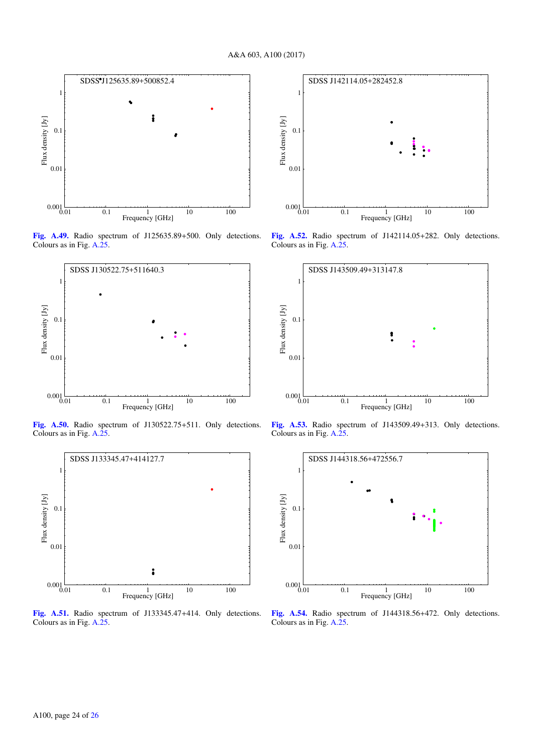

[Fig. A.49.](http://dexter.edpsciences.org/applet.php?DOI=10.1051/0004-6361/201630257&pdf_id=58) Radio spectrum of J125635.89+500. Only detections. Colours as in Fig. [A.25.](#page-19-0)



[Fig. A.50.](http://dexter.edpsciences.org/applet.php?DOI=10.1051/0004-6361/201630257&pdf_id=59) Radio spectrum of J130522.75+511. Only detections. Colours as in Fig. [A.25.](#page-19-0)



[Fig. A.51.](http://dexter.edpsciences.org/applet.php?DOI=10.1051/0004-6361/201630257&pdf_id=60) Radio spectrum of J133345.47+414. Only detections. Colours as in Fig. [A.25.](#page-19-0)



[Fig. A.52.](http://dexter.edpsciences.org/applet.php?DOI=10.1051/0004-6361/201630257&pdf_id=61) Radio spectrum of J142114.05+282. Only detections. Colours as in Fig. [A.25.](#page-19-0)



[Fig. A.53.](http://dexter.edpsciences.org/applet.php?DOI=10.1051/0004-6361/201630257&pdf_id=62) Radio spectrum of J143509.49+313. Only detections. Colours as in Fig. [A.25.](#page-19-0)



[Fig. A.54.](http://dexter.edpsciences.org/applet.php?DOI=10.1051/0004-6361/201630257&pdf_id=63) Radio spectrum of J144318.56+472. Only detections. Colours as in Fig. [A.25.](#page-19-0)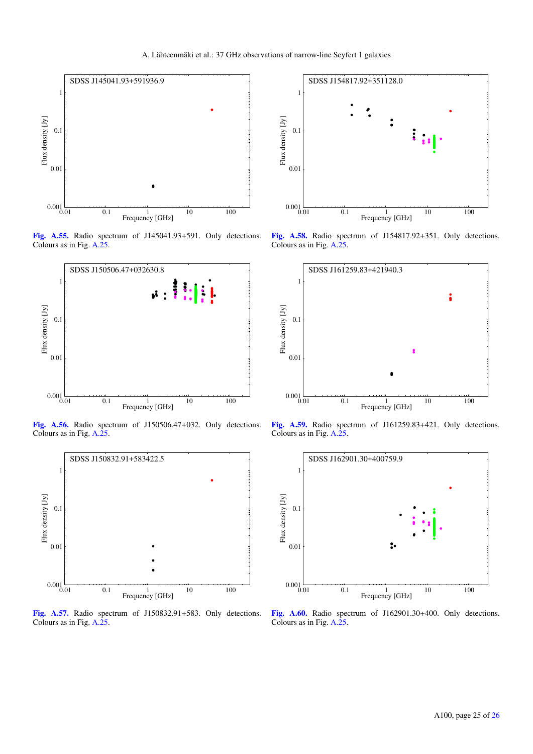

[Fig. A.55.](http://dexter.edpsciences.org/applet.php?DOI=10.1051/0004-6361/201630257&pdf_id=64) Radio spectrum of J145041.93+591. Only detections. Colours as in Fig. [A.25.](#page-19-0)



[Fig. A.56.](http://dexter.edpsciences.org/applet.php?DOI=10.1051/0004-6361/201630257&pdf_id=65) Radio spectrum of J150506.47+032. Only detections. Colours as in Fig. [A.25.](#page-19-0)



[Fig. A.57.](http://dexter.edpsciences.org/applet.php?DOI=10.1051/0004-6361/201630257&pdf_id=66) Radio spectrum of J150832.91+583. Only detections. Colours as in Fig. [A.25.](#page-19-0)



[Fig. A.58.](http://dexter.edpsciences.org/applet.php?DOI=10.1051/0004-6361/201630257&pdf_id=67) Radio spectrum of J154817.92+351. Only detections. Colours as in Fig. [A.25.](#page-19-0)



[Fig. A.59.](http://dexter.edpsciences.org/applet.php?DOI=10.1051/0004-6361/201630257&pdf_id=68) Radio spectrum of J161259.83+421. Only detections. Colours as in Fig. [A.25.](#page-19-0)



[Fig. A.60.](http://dexter.edpsciences.org/applet.php?DOI=10.1051/0004-6361/201630257&pdf_id=69) Radio spectrum of J162901.30+400. Only detections. Colours as in Fig. [A.25.](#page-19-0)